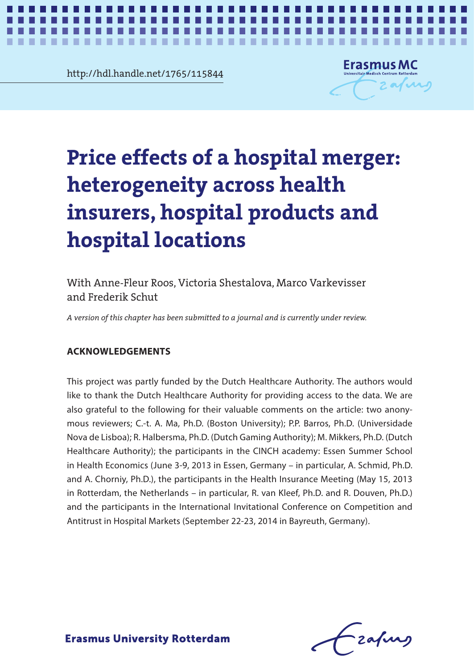**Chapter 2** http://hdl.handle.net/1765/115844



*Price effects of a hospital merger* **1**

**The Second The State** 

# Price effects of a hospital mer **heterogeneity across health insurers, hospital products and hospital locations Price effects of a hospital merger: heterogeneity across health insurers, hospital products and hospital locations**

With Anne-Fleur Roos, Victoria Shestalova, Marco Varkevisser and Frederik Schut

A version of this chapter has been submitted to a journal and is currently under review. *A version of this chapter has been submitted to a journal and is currently under review.*

#### **ACKNOWLEDGEMENTS**

This project was partly funded by the Dutch Healthcare Authority. The authors would like to thank the Dutch Healthcare Authority for providing access to the data. We are also grateful to the following for their valuable comments on the article: two anonymous reviewers; C.-t. A. Ma, Ph.D. (Boston University); P.P. Barros, Ph.D. (Universidade Nova de Lisboa); R. Halbersma, Ph.D. (Dutch Gaming Authority); M. Mikkers, Ph.D. (Dutch Healthcare Authority); the participants in the CINCH academy: Essen Summer School in Health Economics (June 3-9, 2013 in Essen, Germany – in particular, A. Schmid, Ph.D. and A. Chorniy, Ph.D.), the participants in the Health Insurance Meeting (May 15, 2013 in Rotterdam, the Netherlands – in particular, R. van Kleef, Ph.D. and R. Douven, Ph.D.) and the participants in the International Invitational Conference on Competition and Antitrust in Hospital Markets (September 22-23, 2014 in Bayreuth, Germany).

-zafurs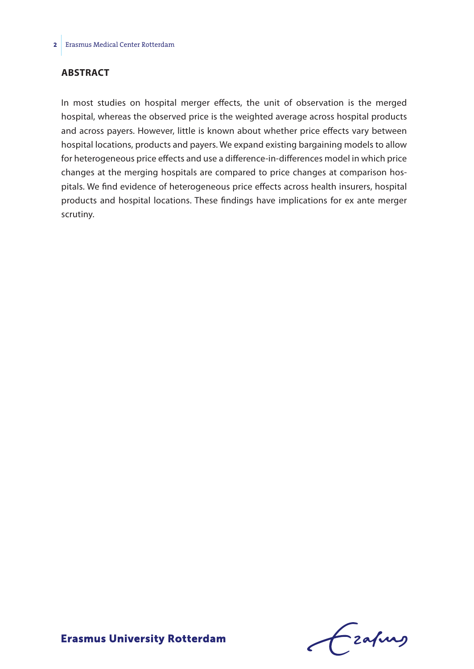#### **ABSTRACT**

In most studies on hospital merger effects, the unit of observation is the merged hospital, whereas the observed price is the weighted average across hospital products and across payers. However, little is known about whether price effects vary between hospital locations, products and payers. We expand existing bargaining models to allow for heterogeneous price effects and use a difference-in-differences model in which price changes at the merging hospitals are compared to price changes at comparison hospitals. We find evidence of heterogeneous price effects across health insurers, hospital products and hospital locations. These findings have implications for ex ante merger scrutiny.

Frahing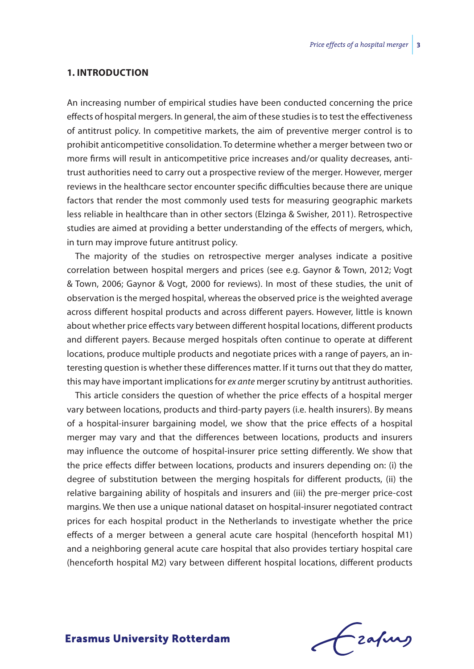#### **1. INTRODUCTION**

An increasing number of empirical studies have been conducted concerning the price effects of hospital mergers. In general, the aim of these studies is to test the effectiveness of antitrust policy. In competitive markets, the aim of preventive merger control is to prohibit anticompetitive consolidation. To determine whether a merger between two or more firms will result in anticompetitive price increases and/or quality decreases, antitrust authorities need to carry out a prospective review of the merger. However, merger reviews in the healthcare sector encounter specific difficulties because there are unique factors that render the most commonly used tests for measuring geographic markets less reliable in healthcare than in other sectors (Elzinga & Swisher, 2011). Retrospective studies are aimed at providing a better understanding of the effects of mergers, which, in turn may improve future antitrust policy.

The majority of the studies on retrospective merger analyses indicate a positive correlation between hospital mergers and prices (see e.g. Gaynor & Town, 2012; Vogt & Town, 2006; Gaynor & Vogt, 2000 for reviews). In most of these studies, the unit of observation is the merged hospital, whereas the observed price is the weighted average across different hospital products and across different payers. However, little is known about whether price effects vary between different hospital locations, different products and different payers. Because merged hospitals often continue to operate at different locations, produce multiple products and negotiate prices with a range of payers, an interesting question is whether these differences matter. If it turns out that they do matter, this may have important implications for *ex ante* merger scrutiny by antitrust authorities.

This article considers the question of whether the price effects of a hospital merger vary between locations, products and third-party payers (i.e. health insurers). By means of a hospital-insurer bargaining model, we show that the price effects of a hospital merger may vary and that the differences between locations, products and insurers may influence the outcome of hospital-insurer price setting differently. We show that the price effects differ between locations, products and insurers depending on: (i) the degree of substitution between the merging hospitals for different products, (ii) the relative bargaining ability of hospitals and insurers and (iii) the pre-merger price-cost margins. We then use a unique national dataset on hospital-insurer negotiated contract prices for each hospital product in the Netherlands to investigate whether the price effects of a merger between a general acute care hospital (henceforth hospital M1) and a neighboring general acute care hospital that also provides tertiary hospital care (henceforth hospital M2) vary between different hospital locations, different products

frafing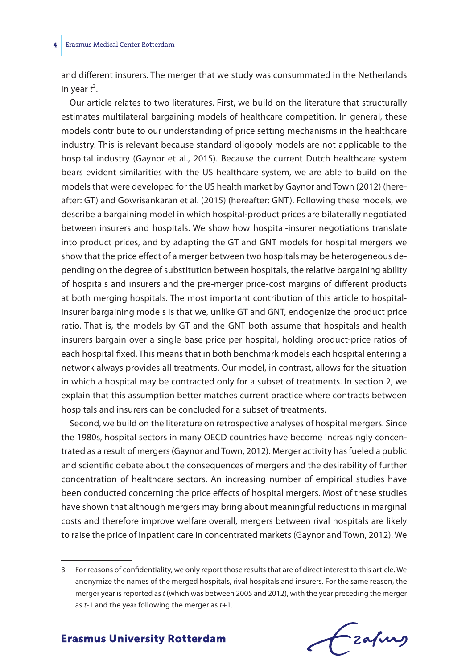#### **4** Erasmus Medical Center Rotterdam

and different insurers. The merger that we study was consummated in the Netherlands in year *t* 3 .

Our article relates to two literatures. First, we build on the literature that structurally estimates multilateral bargaining models of healthcare competition. In general, these models contribute to our understanding of price setting mechanisms in the healthcare industry. This is relevant because standard oligopoly models are not applicable to the hospital industry (Gaynor et al., 2015). Because the current Dutch healthcare system bears evident similarities with the US healthcare system, we are able to build on the models that were developed for the US health market by Gaynor and Town (2012) (hereafter: GT) and Gowrisankaran et al. (2015) (hereafter: GNT). Following these models, we describe a bargaining model in which hospital-product prices are bilaterally negotiated between insurers and hospitals. We show how hospital-insurer negotiations translate into product prices, and by adapting the GT and GNT models for hospital mergers we show that the price effect of a merger between two hospitals may be heterogeneous depending on the degree of substitution between hospitals, the relative bargaining ability of hospitals and insurers and the pre-merger price-cost margins of different products at both merging hospitals. The most important contribution of this article to hospitalinsurer bargaining models is that we, unlike GT and GNT, endogenize the product price ratio. That is, the models by GT and the GNT both assume that hospitals and health insurers bargain over a single base price per hospital, holding product-price ratios of each hospital fixed. This means that in both benchmark models each hospital entering a network always provides all treatments. Our model, in contrast, allows for the situation in which a hospital may be contracted only for a subset of treatments. In section 2, we explain that this assumption better matches current practice where contracts between hospitals and insurers can be concluded for a subset of treatments.

Second, we build on the literature on retrospective analyses of hospital mergers. Since the 1980s, hospital sectors in many OECD countries have become increasingly concentrated as a result of mergers (Gaynor and Town, 2012). Merger activity has fueled a public and scientific debate about the consequences of mergers and the desirability of further concentration of healthcare sectors. An increasing number of empirical studies have been conducted concerning the price effects of hospital mergers. Most of these studies have shown that although mergers may bring about meaningful reductions in marginal costs and therefore improve welfare overall, mergers between rival hospitals are likely to raise the price of inpatient care in concentrated markets (Gaynor and Town, 2012). We

Frahing

<sup>3</sup> For reasons of confidentiality, we only report those results that are of direct interest to this article. We anonymize the names of the merged hospitals, rival hospitals and insurers. For the same reason, the merger year is reported as *t* (which was between 2005 and 2012), with the year preceding the merger as *t*-1 and the year following the merger as *t*+1.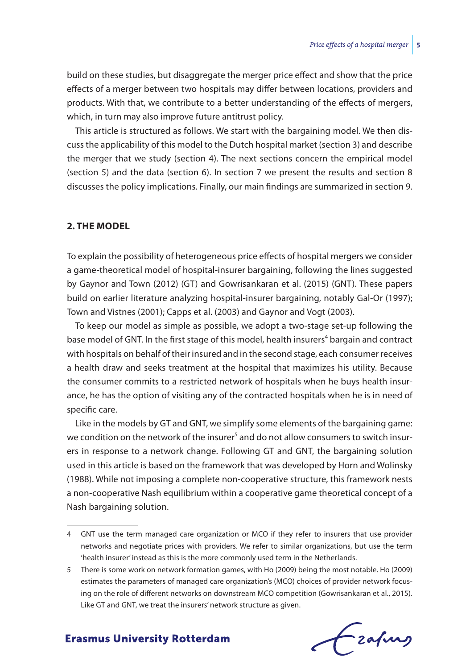build on these studies, but disaggregate the merger price effect and show that the price effects of a merger between two hospitals may differ between locations, providers and products. With that, we contribute to a better understanding of the effects of mergers, which, in turn may also improve future antitrust policy.

This article is structured as follows. We start with the bargaining model. We then discuss the applicability of this model to the Dutch hospital market (section 3) and describe the merger that we study (section 4). The next sections concern the empirical model (section 5) and the data (section 6). In section 7 we present the results and section 8 discusses the policy implications. Finally, our main findings are summarized in section 9.

#### **2. THE MODEL**

To explain the possibility of heterogeneous price effects of hospital mergers we consider a game-theoretical model of hospital-insurer bargaining, following the lines suggested by Gaynor and Town (2012) (GT) and Gowrisankaran et al. (2015) (GNT). These papers build on earlier literature analyzing hospital-insurer bargaining, notably Gal-Or (1997); Town and Vistnes (2001); Capps et al. (2003) and Gaynor and Vogt (2003).

To keep our model as simple as possible, we adopt a two-stage set-up following the base model of GNT. In the first stage of this model, health insurers<sup>4</sup> bargain and contract with hospitals on behalf of their insured and in the second stage, each consumer receives a health draw and seeks treatment at the hospital that maximizes his utility. Because the consumer commits to a restricted network of hospitals when he buys health insurance, he has the option of visiting any of the contracted hospitals when he is in need of specific care.

Like in the models by GT and GNT, we simplify some elements of the bargaining game: we condition on the network of the insurer<sup>5</sup> and do not allow consumers to switch insurers in response to a network change. Following GT and GNT, the bargaining solution used in this article is based on the framework that was developed by Horn and Wolinsky (1988). While not imposing a complete non-cooperative structure, this framework nests a non-cooperative Nash equilibrium within a cooperative game theoretical concept of a Nash bargaining solution.

frafing

<sup>4</sup> GNT use the term managed care organization or MCO if they refer to insurers that use provider networks and negotiate prices with providers. We refer to similar organizations, but use the term 'health insurer' instead as this is the more commonly used term in the Netherlands.

<sup>5</sup> There is some work on network formation games, with Ho (2009) being the most notable. Ho (2009) estimates the parameters of managed care organization's (MCO) choices of provider network focusing on the role of different networks on downstream MCO competition (Gowrisankaran et al., 2015). Like GT and GNT, we treat the insurers' network structure as given.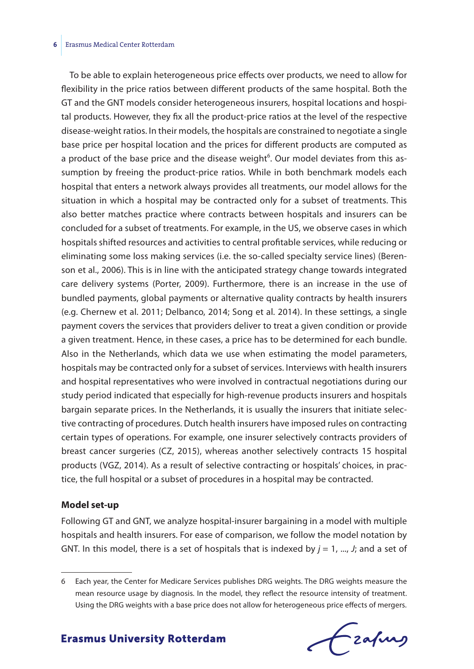#### **6** Erasmus Medical Center Rotterdam

To be able to explain heterogeneous price effects over products, we need to allow for flexibility in the price ratios between different products of the same hospital. Both the GT and the GNT models consider heterogeneous insurers, hospital locations and hospital products. However, they fix all the product-price ratios at the level of the respective disease-weight ratios. In their models, the hospitals are constrained to negotiate a single base price per hospital location and the prices for different products are computed as a product of the base price and the disease weight<sup>6</sup>. Our model deviates from this assumption by freeing the product-price ratios. While in both benchmark models each hospital that enters a network always provides all treatments, our model allows for the situation in which a hospital may be contracted only for a subset of treatments. This also better matches practice where contracts between hospitals and insurers can be concluded for a subset of treatments. For example, in the US, we observe cases in which hospitals shifted resources and activities to central profitable services, while reducing or eliminating some loss making services (i.e. the so-called specialty service lines) (Berenson et al., 2006). This is in line with the anticipated strategy change towards integrated care delivery systems (Porter, 2009). Furthermore, there is an increase in the use of bundled payments, global payments or alternative quality contracts by health insurers (e.g. Chernew et al. 2011; Delbanco, 2014; Song et al. 2014). In these settings, a single payment covers the services that providers deliver to treat a given condition or provide a given treatment. Hence, in these cases, a price has to be determined for each bundle. Also in the Netherlands, which data we use when estimating the model parameters, hospitals may be contracted only for a subset of services. Interviews with health insurers and hospital representatives who were involved in contractual negotiations during our study period indicated that especially for high-revenue products insurers and hospitals bargain separate prices. In the Netherlands, it is usually the insurers that initiate selective contracting of procedures. Dutch health insurers have imposed rules on contracting certain types of operations. For example, one insurer selectively contracts providers of breast cancer surgeries (CZ, 2015), whereas another selectively contracts 15 hospital products (VGZ, 2014). As a result of selective contracting or hospitals' choices, in practice, the full hospital or a subset of procedures in a hospital may be contracted.

#### **Model set-up**

Following GT and GNT, we analyze hospital-insurer bargaining in a model with multiple hospitals and health insurers. For ease of comparison, we follow the model notation by GNT. In this model, there is a set of hospitals that is indexed by  $j = 1$ , ..., *J*; and a set of

Frahing

<sup>6</sup> Each year, the Center for Medicare Services publishes DRG weights. The DRG weights measure the mean resource usage by diagnosis. In the model, they reflect the resource intensity of treatment. Using the DRG weights with a base price does not allow for heterogeneous price effects of mergers.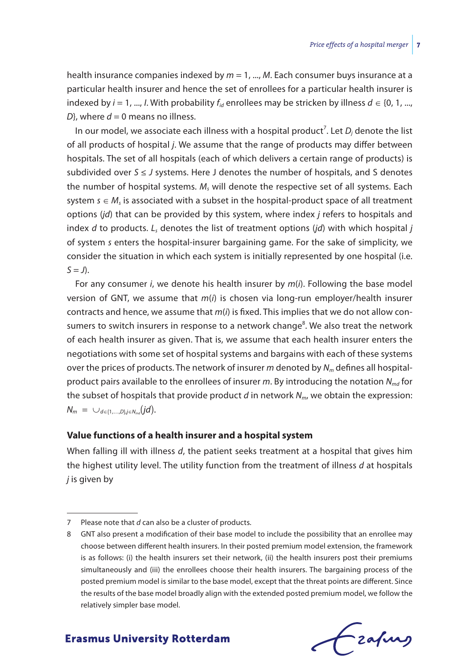health insurance companies indexed by *m* = 1, ..., *M*. Each consumer buys insurance at a particular health insurer and hence the set of enrollees for a particular health insurer is indexed by *i* = 1, ..., *I*. With probability  $f_{id}$  enrollees may be stricken by illness  $d \in \{0, 1, ...,$  $D$ <sup>}</sup>, where  $d = 0$  means no illness.

In our model, we associate each illness with a hospital product<sup>7</sup>. Let  $D_j$  denote the list of all products of hospital *j*. We assume that the range of products may differ between hospitals. The set of all hospitals (each of which delivers a certain range of products) is subdivided over *S* ≤ *J* systems. Here J denotes the number of hospitals, and S denotes the number of hospital systems. *M<sub>s</sub>* will denote the respective set of all systems. Each system *s* ∈ *M<sub>c</sub>* is associated with a subset in the hospital-product space of all treatment options (*jd*) that can be provided by this system, where index *j* refers to hospitals and index *d* to products. *Ls* denotes the list of treatment options (*jd*) with which hospital *j* of system *s* enters the hospital-insurer bargaining game. For the sake of simplicity, we consider the situation in which each system is initially represented by one hospital (i.e.  $S = J$ ).

For any consumer *i*, we denote his health insurer by *m*(*i*). Following the base model version of GNT, we assume that *m*(*i*) is chosen via long-run employer/health insurer contracts and hence, we assume that *m*(*i*) is fixed. This implies that we do not allow consumers to switch insurers in response to a network change<sup>8</sup>. We also treat the network of each health insurer as given. That is, we assume that each health insurer enters the negotiations with some set of hospital systems and bargains with each of these systems over the prices of products. The network of insurer *m* denoted by *Nm* defines all hospitalproduct pairs available to the enrollees of insurer *m*. By introducing the notation *Nmd* for the subset of hospitals that provide product *d* in network *Nm*, we obtain the expression: *N<sub>m</sub>* = ∪<sub>*d*∈{1,...,*D*},*i*∈*N<sub>md</sub>*</sub>(*jd*).

#### **Value functions of a health insurer and a hospital system**

When falling ill with illness *d*, the patient seeks treatment at a hospital that gives him the highest utility level. The utility function from the treatment of illness *d* at hospitals *j* is given by

<sup>8</sup> GNT also present a modification of their base model to include the possibility that an enrollee may choose between different health insurers. In their posted premium model extension, the framework is as follows: (i) the health insurers set their network, (ii) the health insurers post their premiums simultaneously and (iii) the enrollees choose their health insurers. The bargaining process of the posted premium model is similar to the base model, except that the threat points are different. Since the results of the base model broadly align with the extended posted premium model, we follow the relatively simpler base model.



<sup>7</sup> Please note that *d* can also be a cluster of products.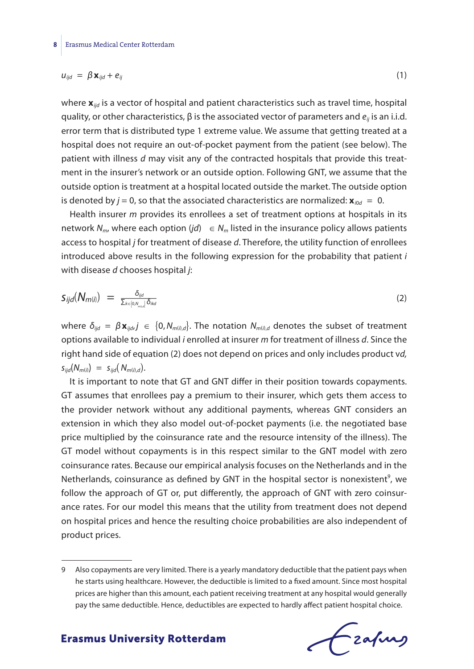$$
u_{ijd} = \beta \mathbf{x}_{ijd} + e_{ij} \tag{1}
$$

where  $\mathbf{x}_{\textit{lid}}$  is a vector of hospital and patient characteristics such as travel time, hospital quality, or other characteristics, β is the associated vector of parameters and *eij* is an i.i.d. error term that is distributed type 1 extreme value. We assume that getting treated at a hospital does not require an out-of-pocket payment from the patient (see below). The patient with illness *d* may visit any of the contracted hospitals that provide this treatment in the insurer's network or an outside option. Following GNT, we assume that the outside option is treatment at a hospital located outside the market. The outside option is denoted by  $j = 0$ , so that the associated characteristics are normalized:  $\mathbf{x}_{i0d} = 0$ .

Health insurer *m* provides its enrollees a set of treatment options at hospitals in its network  $N_m$ , where each option (*jd*)  $\in N_m$  listed in the insurance policy allows patients access to hospital *j* for treatment of disease *d*. Therefore, the utility function of enrollees introduced above results in the following expression for the probability that patient *i* with disease *d* chooses hospital *j*: *access to nospital j for tri*<br>*introduced above result*<br>*with disease d chooses l*<br>*S<sub>ijd</sub>*(*N<sub>m(i)</sub>*) =  $\frac{\delta_{ijd}}{\sum_{k \in [0, N_{mid}]}\delta_{ikd}}$ 

$$
S_{ijd}(N_{m(i)}) = \frac{\delta_{ijd}}{\sum_{k \in [0, N_{m(i,j]})} \delta_{ikd}}
$$
(2)

where  $\delta_{ijd} = \beta \mathbf{x}_{ijd}$ ,  $j \in \{0, N_{m(i),d}\}$ . The notation  $N_{m(i),d}$  denotes the subset of treatment options available to individual *i* enrolled at insurer *m* for treatment of illness *d*. Since the right hand side of equation (2) does not depend on prices and only includes product v*d,*  $s_{\text{iid}}(N_{\text{m(i)}}) = s_{\text{iid}}(N_{\text{m(i)},d}).$ 

It is important to note that GT and GNT differ in their position towards copayments. GT assumes that enrollees pay a premium to their insurer, which gets them access to the provider network without any additional payments, whereas GNT considers an extension in which they also model out-of-pocket payments (i.e. the negotiated base price multiplied by the coinsurance rate and the resource intensity of the illness). The GT model without copayments is in this respect similar to the GNT model with zero coinsurance rates. Because our empirical analysis focuses on the Netherlands and in the Netherlands, coinsurance as defined by GNT in the hospital sector is nonexistent<sup>9</sup>, we follow the approach of GT or, put differently, the approach of GNT with zero coinsurance rates. For our model this means that the utility from treatment does not depend on hospital prices and hence the resulting choice probabilities are also independent of product prices.

Frafing

<sup>9</sup> Also copayments are very limited. There is a yearly mandatory deductible that the patient pays when he starts using healthcare. However, the deductible is limited to a fixed amount. Since most hospital prices are higher than this amount, each patient receiving treatment at any hospital would generally pay the same deductible. Hence, deductibles are expected to hardly affect patient hospital choice.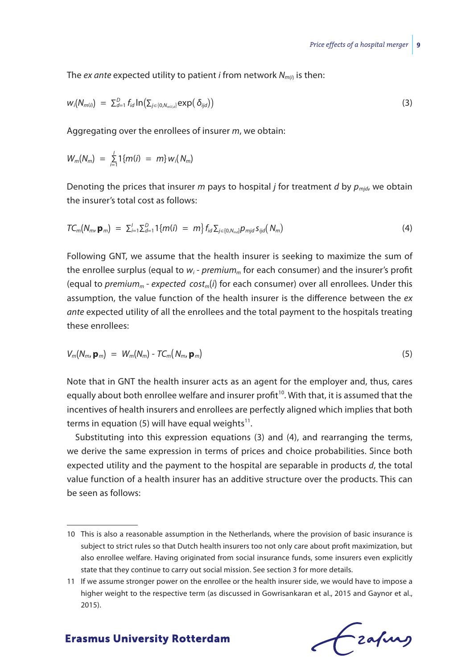The *ex ante* expected utility to patient *i* from network  $N_{m(i)}$  is then:

$$
w_i(N_{m(i)}) = \sum_{d=1}^D f_{id} \ln \left( \sum_{j \in \{0, N_{m(i,d)}\}} \exp \left( \delta_{ijd} \right) \right) \tag{3}
$$

Aggregating over the enrollees of insurer *m*, we obtain:

$$
W_m(N_m) = \sum_{i=1}^l 1\{m(i) = m\} w_i(N_m)
$$

Denoting the prices that insurer *m* pays to hospital *j* for treatment *d* by  $p_{mid}$ , we obtain the insurer's total cost as follows:

$$
TC_m(N_m, \mathbf{p}_m) = \sum_{i=1}^l \sum_{d=1}^D \{m(i) = m\} f_{id} \sum_{j \in \{0, N_m, i\}} p_{mjd} s_{ijd}(N_m)
$$
(4)

Following GNT, we assume that the health insurer is seeking to maximize the sum of the enrollee surplus (equal to *wi* - *premiumm* for each consumer) and the insurer's profit (equal to *premiumm* - *expected costm*(*i*) for each consumer) over all enrollees. Under this assumption, the value function of the health insurer is the difference between the *ex ante* expected utility of all the enrollees and the total payment to the hospitals treating these enrollees:

$$
V_m(N_m, \mathbf{p}_m) = W_m(N_m) - T C_m(N_m, \mathbf{p}_m)
$$
\n
$$
(5)
$$

Note that in GNT the health insurer acts as an agent for the employer and, thus, cares equally about both enrollee welfare and insurer profit<sup>10</sup>. With that, it is assumed that the incentives of health insurers and enrollees are perfectly aligned which implies that both terms in equation (5) will have equal weights<sup>11</sup>.

Substituting into this expression equations (3) and (4), and rearranging the terms, we derive the same expression in terms of prices and choice probabilities. Since both expected utility and the payment to the hospital are separable in products *d*, the total value function of a health insurer has an additive structure over the products. This can be seen as follows:

<sup>11</sup> If we assume stronger power on the enrollee or the health insurer side, we would have to impose a higher weight to the respective term (as discussed in Gowrisankaran et al., 2015 and Gaynor et al., 2015).



<sup>10</sup> This is also a reasonable assumption in the Netherlands, where the provision of basic insurance is subject to strict rules so that Dutch health insurers too not only care about profit maximization, but also enrollee welfare. Having originated from social insurance funds, some insurers even explicitly state that they continue to carry out social mission. See section 3 for more details.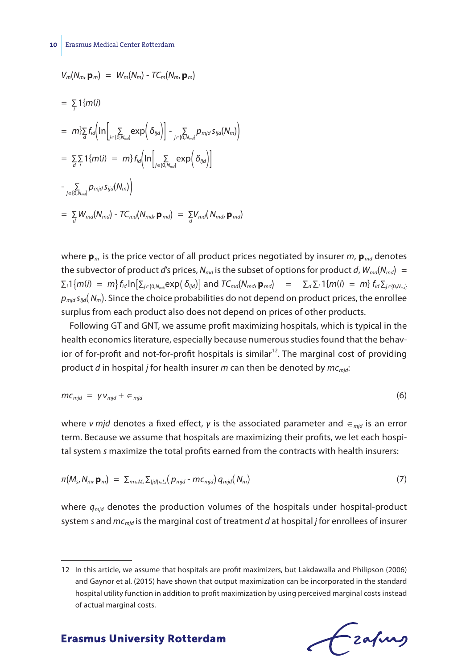$$
V_m(N_m, \mathbf{p}_m) = W_m(N_m) - TC_m(N_m, \mathbf{p}_m)
$$
  
\n
$$
= \sum_{i} 1\{m(i)\}
$$
  
\n
$$
= m\} \sum_{d} f_{id} \Big( ln \Big[ \sum_{j \in \{0, N_{md}\}} exp\Big( \delta_{ijd} \Big) \Big] - \sum_{j \in \{0, N_{md}\}} p_{mjd} s_{ijd}(N_m) \Big)
$$
  
\n
$$
= \sum_{d} \sum_{i} 1\{m(i) = m\} f_{id} \Big( ln \Big[ \sum_{j \in \{0, N_{md}\}} exp\Big( \delta_{ijd} \Big) \Big]
$$
  
\n
$$
- \sum_{j \in \{0, N_{md}\}} p_{mjd} s_{ijd}(N_m) \Big)
$$
  
\n
$$
= \sum_{d} W_{md}(N_{md}) - TC_{md}(N_{md}, \mathbf{p}_{md}) = \sum_{d} V_{md}(N_{md}, \mathbf{p}_{md})
$$

where  $\mathbf{p}_m$  is the price vector of all product prices negotiated by insurer *m*,  $\mathbf{p}_{md}$  denotes the subvector of product *d*'s prices,  $N_{md}$  is the subset of options for product *d*,  $W_{md}$  $(N_{md})$  =  $\Sigma_i$ 1 $\{m(i)~=~m\}$   $f_{id}$   $\ln[\Sigma_{j\in[0,N_{m d}]}{\sf exp}(\,\delta_{ijd})]$  and  $TC_{md}({\sf N}_{md}, {\sf p}_{md})~=~\Sigma_d \Sigma_i$  1 $\{m(i)~=~m\}$   $f_{id}$   $\Sigma_{j\in[0,N_{m d}]}$  $p_{mid} s_{ijd}(N_m)$ . Since the choice probabilities do not depend on product prices, the enrollee surplus from each product also does not depend on prices of other products.

Following GT and GNT, we assume profit maximizing hospitals, which is typical in the health economics literature, especially because numerous studies found that the behavior of for-profit and not-for-profit hospitals is similar<sup>12</sup>. The marginal cost of providing product *d* in hospital *j* for health insurer *m* can then be denoted by *mcmjd*:

$$
mc_{mjd} = \gamma v_{mjd} + \epsilon_{mjd} \tag{6}
$$

*where <i>ν mjd* denotes a fixed effect, *γ* is the associated parameter and ∈<sub>*mjd*</sub> is an error term. Because we assume that hospitals are maximizing their profits, we let each hospital system *s* maximize the total profits earned from the contracts with health insurers:

$$
\pi(M_s, N_m, \mathbf{p}_m) = \sum_{m \in M_s} \sum_{(j d) \in L_s} (p_{mjd} - m c_{mjd}) q_{mjd}(N_m)
$$
\n(7)

where  $q_{mid}$  denotes the production volumes of the hospitals under hospital-product system *s* and *mcmjd* is the marginal cost of treatment *d* at hospital *j* for enrollees of insurer

<sup>12</sup> In this article, we assume that hospitals are profit maximizers, but Lakdawalla and Philipson (2006) and Gaynor et al. (2015) have shown that output maximization can be incorporated in the standard hospital utility function in addition to profit maximization by using perceived marginal costs instead of actual marginal costs.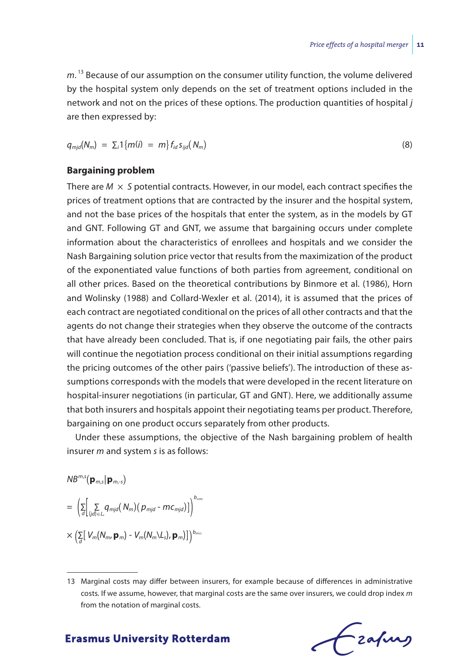m.<sup>13</sup> Because of our assumption on the consumer utility function, the volume delivered by the hospital system only depends on the set of treatment options included in the network and not on the prices of these options. The production quantities of hospital *j* are then expressed by:

$$
q_{\text{mjd}}(N_m) = \sum_i \{ m(i) = m \} f_{id} s_{ijd}(N_m)
$$
\n(8)

#### **Bargaining problem**

There are  $M \times S$  potential contracts. However, in our model, each contract specifies the prices of treatment options that are contracted by the insurer and the hospital system, and not the base prices of the hospitals that enter the system, as in the models by GT and GNT. Following GT and GNT, we assume that bargaining occurs under complete information about the characteristics of enrollees and hospitals and we consider the Nash Bargaining solution price vector that results from the maximization of the product of the exponentiated value functions of both parties from agreement, conditional on all other prices. Based on the theoretical contributions by Binmore et al. (1986), Horn and Wolinsky (1988) and Collard-Wexler et al. (2014), it is assumed that the prices of each contract are negotiated conditional on the prices of all other contracts and that the agents do not change their strategies when they observe the outcome of the contracts that have already been concluded. That is, if one negotiating pair fails, the other pairs will continue the negotiation process conditional on their initial assumptions regarding the pricing outcomes of the other pairs ('passive beliefs'). The introduction of these assumptions corresponds with the models that were developed in the recent literature on hospital-insurer negotiations (in particular, GT and GNT). Here, we additionally assume that both insurers and hospitals appoint their negotiating teams per product. Therefore, bargaining on one product occurs separately from other products.

Under these assumptions, the objective of the Nash bargaining problem of health insurer *m* and system *s* is as follows:

$$
NB^{m,s}(\mathbf{p}_{m,s}|\mathbf{p}_{m,s})
$$
  
= 
$$
\left(\sum_{d}\left[\sum_{(jd)\in L_s}q_{mjd}(N_m)(p_{mjd}-mc_{mjd})\right]\right)^{b_{sum}}
$$

$$
\times \left( \sum_{d} \left[ V_m(N_m, \mathbf{p}_m) - V_m(N_m \backslash L_s), \mathbf{p}_m) \right] \right)^{b_{m(s)}}
$$

<sup>13</sup> Marginal costs may differ between insurers, for example because of differences in administrative costs. If we assume, however, that marginal costs are the same over insurers, we could drop index *m* from the notation of marginal costs.

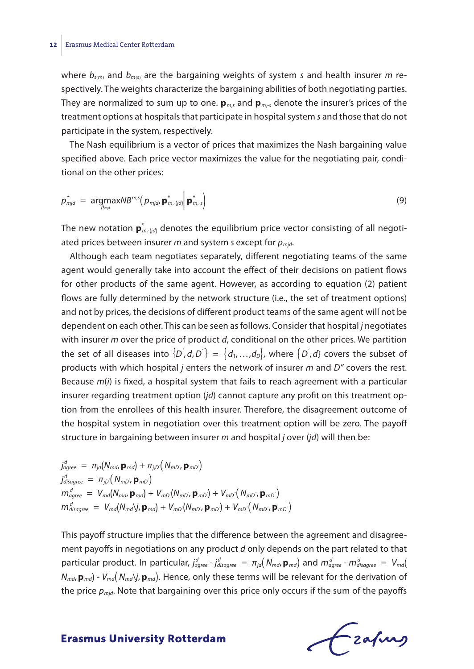where  $b_{\text{sym}}$  and  $b_{\text{rms}}$  are the bargaining weights of system *s* and health insurer *m* respectively. The weights characterize the bargaining abilities of both negotiating parties. They are normalized to sum up to one.  $\mathbf{p}_{m,s}$  and  $\mathbf{p}_{m-s}$  denote the insurer's prices of the treatment options at hospitals that participate in hospital system *s* and those that do not participate in the system, respectively.

The Nash equilibrium is a vector of prices that maximizes the Nash bargaining value specified above. Each price vector maximizes the value for the negotiating pair, conditional on the other prices:

$$
p_{mjd}^* = \underset{p_{mjd}}{\text{argmax}} N B^{m,s} (p_{mjd}, \mathbf{p}_{m,(jd)}^* | \mathbf{p}_{m,s}^*)
$$
(9)

The new notation  $\bm{{\mathsf{p}}}_{\textit{m,}\textit{-}\textit{(jd)}}^*$  denotes the equilibrium price vector consisting of all negotiated prices between insurer *m* and system *s* except for *pmjd*.

Although each team negotiates separately, different negotiating teams of the same agent would generally take into account the effect of their decisions on patient flows for other products of the same agent. However, as according to equation (2) patient flows are fully determined by the network structure (i.e., the set of treatment options) and not by prices, the decisions of different product teams of the same agent will not be dependent on each other. This can be seen as follows. Consider that hospital *j* negotiates with insurer *m* over the price of product *d*, conditional on the other prices. We partition the set of all diseases into  $\{D^{'},d,D^{''}\} = \{d_1, ..., d_D\}$ , where  $\{D^{'},d\}$  covers the subset of products with which hospital *j* enters the network of insurer *m* and *D''* covers the rest. Because *m*(*i*) is fixed, a hospital system that fails to reach agreement with a particular insurer regarding treatment option (*jd*) cannot capture any profit on this treatment option from the enrollees of this health insurer. Therefore, the disagreement outcome of the hospital system in negotiation over this treatment option will be zero. The payoff structure in bargaining between insurer *m* and hospital *j* over (*jd*) will then be:

$$
\begin{aligned}\nj_{\text{ggreen}}^d &= \pi_{jd}(N_{md}, \mathbf{p}_{md}) + \pi_{j,D}(N_{mD}, \mathbf{p}_{mD}) \\
j_{\text{disagree}}^d &= \pi_{jD}(N_{mD}, \mathbf{p}_{mD}) \\
m_{\text{ggreen}}^d &= V_{md}(N_{md}, \mathbf{p}_{md}) + V_{mD}(N_{mD}, \mathbf{p}_{mD}) + V_{mD}(N_{mD}, \mathbf{p}_{mD}) \\
m_{\text{disagree}}^d &= V_{md}(N_{md})\mathbf{j}, \mathbf{p}_{md}) + V_{mD}(N_{mD}, \mathbf{p}_{mD}) + V_{mD}(N_{mD}, \mathbf{p}_{mD})\n\end{aligned}
$$

This payoff structure implies that the difference between the agreement and disagreement payoffs in negotiations on any product *d* only depends on the part related to that  $p$  particular product. In particular,  $j_{agree}^d - j_{disagree}^d = \pi_{jd}(N_{md}$ ,  $p_{md}$ ) and  $m_{agree}^d - m_{disagree}^d = V_{md}$  $N_{md}$ ,  $\mathbf{p}_{md}$ ) -  $V_{md}(\mathbf{N}_{md})$ *j*,  $\mathbf{p}_{md}$ ). Hence, only these terms will be relevant for the derivation of the price *pmjd*. Note that bargaining over this price only occurs if the sum of the payoffs

Lzafurs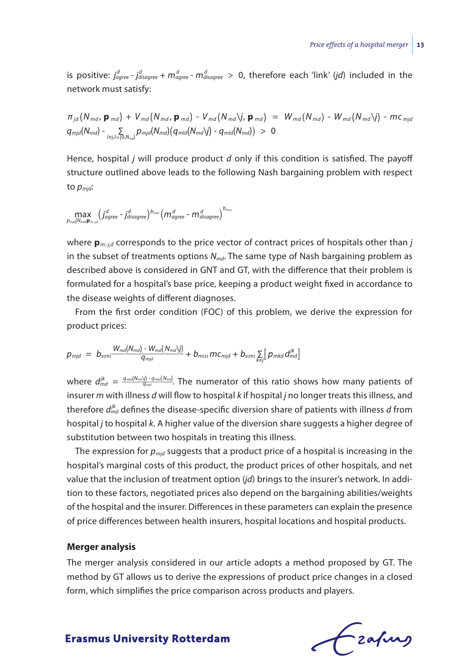is positive:  $j_{agree}^d$  -  $j_{disagree}^d$  +  $m_{agree}^d$  -  $m_{disagree}^d$  > 0, therefore each 'link' (*jd*) included in the network must satisfy:

$$
\pi_{jd}(N_{md}, \mathbf{p}_{md}) + V_{md}(N_{md}, \mathbf{p}_{md}) - V_{md}(N_{md}\mathbf{y}, \mathbf{p}_{md}) = W_{md}(N_{md}) - W_{md}(N_{md})
$$
\n
$$
q_{mjd}(N_{md}) - \sum_{l \neq j, l \in [0, N_{md}]} p_{mjd}(N_{md}) (q_{mld}(N_{md})') - q_{mld}(N_{md}) ) > 0
$$

Hence, hospital *j* will produce product *d* only if this condition is satisfied. The payoff structure outlined above leads to the following Nash bargaining problem with respect to *pmjd*:

$$
\underset{p_{\textit{m|d}}|N_{\textit{md}}\mathbf{p}_{m,j,d}}{\textit{max}}\left(\underset{d\textit{gfree}}{\textit{if}}-j_{\textit{disagree}}^d\right)^{b_{\textit{sim}}}\left(m_{\textit{agree}}^d-m_{\textit{disagree}}^d\right)^{b_{\textit{m|s|}}}
$$

where  $\mathbf{p}_{m \text{-} i,d}$  corresponds to the price vector of contract prices of hospitals other than *j* in the subset of treatments options  $N_{md}$ . The same type of Nash bargaining problem as described above is considered in GNT and GT, with the difference that their problem is formulated for a hospital's base price, keeping a product weight fixed in accordance to the disease weights of different diagnoses.

From the first order condition (FOC) of this problem, we derive the expression for product prices:

product prices:  
\n
$$
p_{mjd} = b_{s(m)} \frac{W_{md}(N_{md}) - W_{md}(N_{md})j)}{q_{mjd}} + b_{m(s)} m c_{mjd} + b_{s(m)} \sum_{k \neq j} \left[ p_{mkd} d_{md}^{jk} \right]
$$

 $j_{md}$   $d_{md}^{jk}$  =  $\frac{q_{md}(N_{md})\cdot q_{md}(N_{md})}{q_{md}}$ . The numerator of this ratio shows how many patients of insurer *m* with illness *d* will flow to hospital *k* if hospital *j* no longer treats this illness, and therefore  $d_{md}^{jk}$  defines the disease-specific diversion share of patients with illness *d* from hospital *j* to hospital *k*. A higher value of the diversion share suggests a higher degree of substitution between two hospitals in treating this illness.

The expression for *pmjd* suggests that a product price of a hospital is increasing in the hospital's marginal costs of this product, the product prices of other hospitals, and net value that the inclusion of treatment option (*jd*) brings to the insurer's network. In addition to these factors, negotiated prices also depend on the bargaining abilities/weights of the hospital and the insurer. Differences in these parameters can explain the presence of price differences between health insurers, hospital locations and hospital products.

#### **Merger analysis**

The merger analysis considered in our article adopts a method proposed by GT. The method by GT allows us to derive the expressions of product price changes in a closed form, which simplifies the price comparison across products and players.

Czafing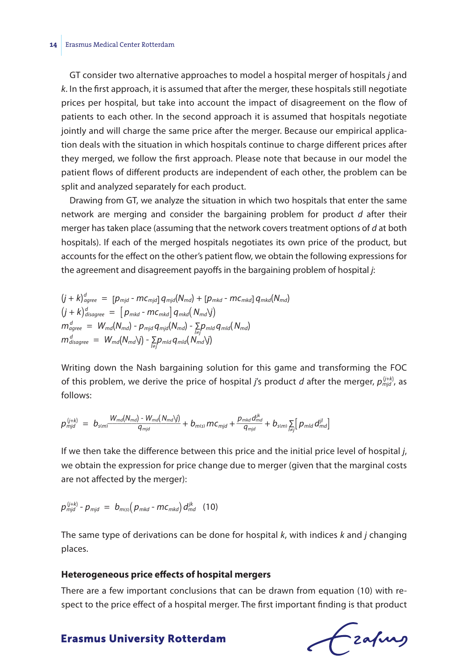#### **14** Erasmus Medical Center Rotterdam

GT consider two alternative approaches to model a hospital merger of hospitals *j* and *k*. In the first approach, it is assumed that after the merger, these hospitals still negotiate prices per hospital, but take into account the impact of disagreement on the flow of patients to each other. In the second approach it is assumed that hospitals negotiate jointly and will charge the same price after the merger. Because our empirical application deals with the situation in which hospitals continue to charge different prices after they merged, we follow the first approach. Please note that because in our model the patient flows of different products are independent of each other, the problem can be split and analyzed separately for each product.

Drawing from GT, we analyze the situation in which two hospitals that enter the same network are merging and consider the bargaining problem for product *d* after their merger has taken place (assuming that the network covers treatment options of *d* at both hospitals). If each of the merged hospitals negotiates its own price of the product, but accounts for the effect on the other's patient flow, we obtain the following expressions for the agreement and disagreement payoffs in the bargaining problem of hospital *j*:

$$
(j + k)^d_{agree} = [p_{mjd} - mc_{mjd}] q_{mjd}(N_{md}) + [p_{mkd} - mc_{mkd}] q_{mkd}(N_{md})
$$
  
\n
$$
(j + k)^d_{disagree} = [p_{mkd} - mc_{mkd}] q_{mkd}(N_{md})j)
$$
  
\n
$$
m^d_{agree} = W_{md}(N_{md}) - p_{mjd} q_{mjd}(N_{md}) - \sum_{l \neq j} p_{mld} q_{mjd}(N_{md})
$$
  
\n
$$
m^d_{disagree} = W_{md}(N_{md})j) - \sum_{l \neq j} p_{mld} q_{mld}(N_{md})j)
$$

Writing down the Nash bargaining solution for this game and transforming the FOC of this problem, we derive the price of hospital *j'*s product *d* after the merger,  $p_{\textit{mid}}^{(j+k)}$ , as follows:

follows:  
\n
$$
p_{mid}^{(j+k)} = b_{s(m)} \frac{W_{md}(N_{md}) - W_{md}(N_{md})j)}{q_{mid}} + b_{m(s)} m c_{mjd} + \frac{p_{mkd} d_{md}^{ik}}{q_{mjd}} + b_{s(m)} \sum_{i \neq j} \left[ p_{mld} d_{md}^{jl} \right]
$$

If we then take the difference between this price and the initial price level of hospital *j*, we obtain the expression for price change due to merger (given that the marginal costs are not affected by the merger):

$$
p_{mid}^{(j+k)} - p_{mid} = b_{m(s)}(p_{mkd} - mc_{mkd})d_{md}^{jk} \quad (10)
$$

The same type of derivations can be done for hospital *k*, with indices *k* and *j* changing places.

#### **Heterogeneous price effects of hospital mergers**

There are a few important conclusions that can be drawn from equation (10) with respect to the price effect of a hospital merger. The first important finding is that product

Czafurz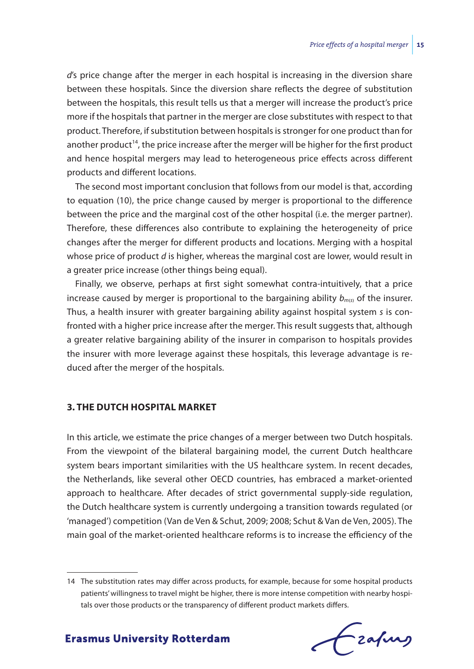*d*'s price change after the merger in each hospital is increasing in the diversion share between these hospitals. Since the diversion share reflects the degree of substitution between the hospitals, this result tells us that a merger will increase the product's price more if the hospitals that partner in the merger are close substitutes with respect to that product. Therefore, if substitution between hospitals is stronger for one product than for another product<sup>14</sup>, the price increase after the merger will be higher for the first product and hence hospital mergers may lead to heterogeneous price effects across different products and different locations.

The second most important conclusion that follows from our model is that, according to equation (10), the price change caused by merger is proportional to the difference between the price and the marginal cost of the other hospital (i.e. the merger partner). Therefore, these differences also contribute to explaining the heterogeneity of price changes after the merger for different products and locations. Merging with a hospital whose price of product *d* is higher, whereas the marginal cost are lower, would result in a greater price increase (other things being equal).

Finally, we observe, perhaps at first sight somewhat contra-intuitively, that a price increase caused by merger is proportional to the bargaining ability  $b_{m(s)}$  of the insurer. Thus, a health insurer with greater bargaining ability against hospital system *s* is confronted with a higher price increase after the merger. This result suggests that, although a greater relative bargaining ability of the insurer in comparison to hospitals provides the insurer with more leverage against these hospitals, this leverage advantage is reduced after the merger of the hospitals.

#### **3. THE DUTCH HOSPITAL MARKET**

In this article, we estimate the price changes of a merger between two Dutch hospitals. From the viewpoint of the bilateral bargaining model, the current Dutch healthcare system bears important similarities with the US healthcare system. In recent decades, the Netherlands, like several other OECD countries, has embraced a market-oriented approach to healthcare. After decades of strict governmental supply-side regulation, the Dutch healthcare system is currently undergoing a transition towards regulated (or 'managed') competition (Van de Ven & Schut, 2009; 2008; Schut & Van de Ven, 2005). The main goal of the market-oriented healthcare reforms is to increase the efficiency of the

<sup>14</sup> The substitution rates may differ across products, for example, because for some hospital products patients' willingness to travel might be higher, there is more intense competition with nearby hospitals over those products or the transparency of different product markets differs.

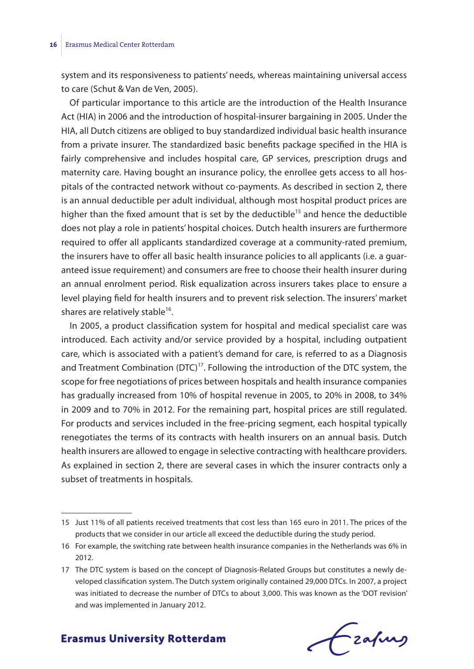system and its responsiveness to patients' needs, whereas maintaining universal access to care (Schut & Van de Ven, 2005).

Of particular importance to this article are the introduction of the Health Insurance Act (HIA) in 2006 and the introduction of hospital-insurer bargaining in 2005. Under the HIA, all Dutch citizens are obliged to buy standardized individual basic health insurance from a private insurer. The standardized basic benefits package specified in the HIA is fairly comprehensive and includes hospital care, GP services, prescription drugs and maternity care. Having bought an insurance policy, the enrollee gets access to all hospitals of the contracted network without co-payments. As described in section 2, there is an annual deductible per adult individual, although most hospital product prices are higher than the fixed amount that is set by the deductible<sup>15</sup> and hence the deductible does not play a role in patients' hospital choices. Dutch health insurers are furthermore required to offer all applicants standardized coverage at a community-rated premium, the insurers have to offer all basic health insurance policies to all applicants (i.e. a guaranteed issue requirement) and consumers are free to choose their health insurer during an annual enrolment period. Risk equalization across insurers takes place to ensure a level playing field for health insurers and to prevent risk selection. The insurers' market shares are relatively stable $^{16}$ .

In 2005, a product classification system for hospital and medical specialist care was introduced. Each activity and/or service provided by a hospital, including outpatient care, which is associated with a patient's demand for care, is referred to as a Diagnosis and Treatment Combination  $(DTC)^{17}$ . Following the introduction of the DTC system, the scope for free negotiations of prices between hospitals and health insurance companies has gradually increased from 10% of hospital revenue in 2005, to 20% in 2008, to 34% in 2009 and to 70% in 2012. For the remaining part, hospital prices are still regulated. For products and services included in the free-pricing segment, each hospital typically renegotiates the terms of its contracts with health insurers on an annual basis. Dutch health insurers are allowed to engage in selective contracting with healthcare providers. As explained in section 2, there are several cases in which the insurer contracts only a subset of treatments in hospitals.

Frahing

<sup>15</sup> Just 11% of all patients received treatments that cost less than 165 euro in 2011. The prices of the products that we consider in our article all exceed the deductible during the study period.

<sup>16</sup> For example, the switching rate between health insurance companies in the Netherlands was 6% in 2012.

<sup>17</sup> The DTC system is based on the concept of Diagnosis-Related Groups but constitutes a newly developed classification system. The Dutch system originally contained 29,000 DTCs. In 2007, a project was initiated to decrease the number of DTCs to about 3,000. This was known as the 'DOT revision' and was implemented in January 2012.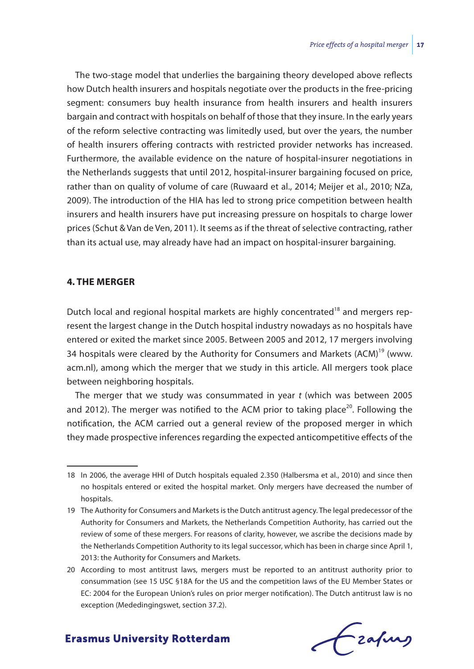The two-stage model that underlies the bargaining theory developed above reflects how Dutch health insurers and hospitals negotiate over the products in the free-pricing segment: consumers buy health insurance from health insurers and health insurers bargain and contract with hospitals on behalf of those that they insure. In the early years of the reform selective contracting was limitedly used, but over the years, the number of health insurers offering contracts with restricted provider networks has increased. Furthermore, the available evidence on the nature of hospital-insurer negotiations in the Netherlands suggests that until 2012, hospital-insurer bargaining focused on price, rather than on quality of volume of care (Ruwaard et al., 2014; Meijer et al., 2010; NZa, 2009). The introduction of the HIA has led to strong price competition between health insurers and health insurers have put increasing pressure on hospitals to charge lower prices (Schut & Van de Ven, 2011). It seems as if the threat of selective contracting, rather than its actual use, may already have had an impact on hospital-insurer bargaining.

### **4. THE MERGER**

Dutch local and regional hospital markets are highly concentrated<sup>18</sup> and mergers represent the largest change in the Dutch hospital industry nowadays as no hospitals have entered or exited the market since 2005. Between 2005 and 2012, 17 mergers involving 34 hospitals were cleared by the Authority for Consumers and Markets (ACM)<sup>19</sup> (www. acm.nl), among which the merger that we study in this article. All mergers took place between neighboring hospitals.

The merger that we study was consummated in year *t* (which was between 2005 and 2012). The merger was notified to the ACM prior to taking place<sup>20</sup>. Following the notification, the ACM carried out a general review of the proposed merger in which they made prospective inferences regarding the expected anticompetitive effects of the

# frafing

<sup>18</sup> In 2006, the average HHI of Dutch hospitals equaled 2.350 (Halbersma et al., 2010) and since then no hospitals entered or exited the hospital market. Only mergers have decreased the number of hospitals.

<sup>19</sup> The Authority for Consumers and Markets is the Dutch antitrust agency. The legal predecessor of the Authority for Consumers and Markets, the Netherlands Competition Authority, has carried out the review of some of these mergers. For reasons of clarity, however, we ascribe the decisions made by the Netherlands Competition Authority to its legal successor, which has been in charge since April 1, 2013: the Authority for Consumers and Markets.

<sup>20</sup> According to most antitrust laws, mergers must be reported to an antitrust authority prior to consummation (see 15 USC §18A for the US and the competition laws of the EU Member States or EC: 2004 for the European Union's rules on prior merger notification). The Dutch antitrust law is no exception (Mededingingswet, section 37.2).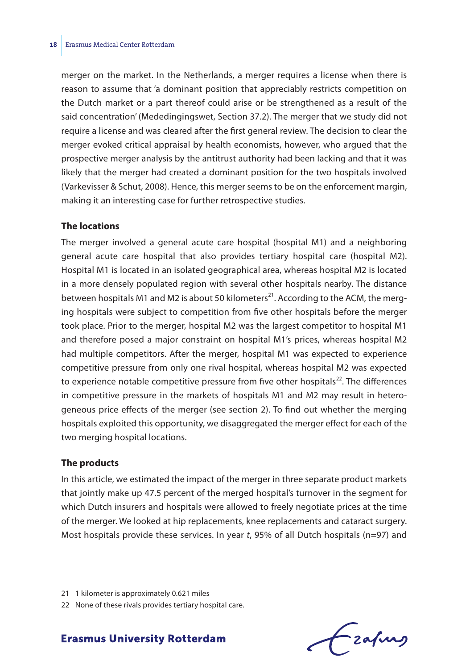merger on the market. In the Netherlands, a merger requires a license when there is reason to assume that 'a dominant position that appreciably restricts competition on the Dutch market or a part thereof could arise or be strengthened as a result of the said concentration' (Mededingingswet, Section 37.2). The merger that we study did not require a license and was cleared after the first general review. The decision to clear the merger evoked critical appraisal by health economists, however, who argued that the prospective merger analysis by the antitrust authority had been lacking and that it was likely that the merger had created a dominant position for the two hospitals involved (Varkevisser & Schut, 2008). Hence, this merger seems to be on the enforcement margin, making it an interesting case for further retrospective studies.

#### **The locations**

The merger involved a general acute care hospital (hospital M1) and a neighboring general acute care hospital that also provides tertiary hospital care (hospital M2). Hospital M1 is located in an isolated geographical area, whereas hospital M2 is located in a more densely populated region with several other hospitals nearby. The distance between hospitals M1 and M2 is about 50 kilometers<sup>21</sup>. According to the ACM, the merging hospitals were subject to competition from five other hospitals before the merger took place. Prior to the merger, hospital M2 was the largest competitor to hospital M1 and therefore posed a major constraint on hospital M1's prices, whereas hospital M2 had multiple competitors. After the merger, hospital M1 was expected to experience competitive pressure from only one rival hospital, whereas hospital M2 was expected to experience notable competitive pressure from five other hospitals<sup>22</sup>. The differences in competitive pressure in the markets of hospitals M1 and M2 may result in heterogeneous price effects of the merger (see section 2). To find out whether the merging hospitals exploited this opportunity, we disaggregated the merger effect for each of the two merging hospital locations.

#### **The products**

In this article, we estimated the impact of the merger in three separate product markets that jointly make up 47.5 percent of the merged hospital's turnover in the segment for which Dutch insurers and hospitals were allowed to freely negotiate prices at the time of the merger. We looked at hip replacements, knee replacements and cataract surgery. Most hospitals provide these services. In year *t*, 95% of all Dutch hospitals (n=97) and

- zafung

<sup>21</sup> 1 kilometer is approximately 0.621 miles

<sup>22</sup> None of these rivals provides tertiary hospital care.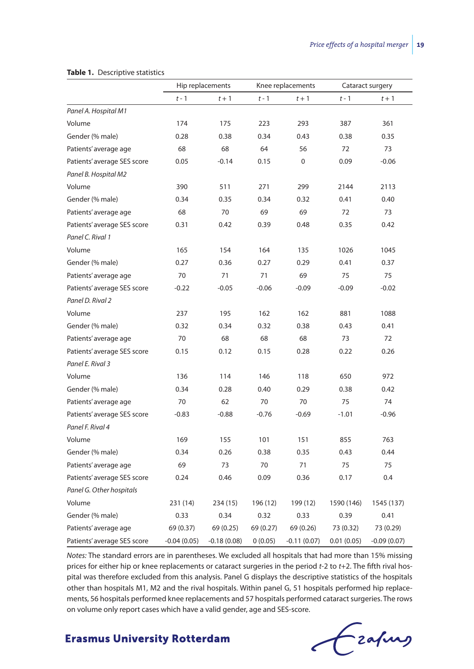|                             |               | Hip replacements<br>Knee replacements |           |               | Cataract surgery |               |
|-----------------------------|---------------|---------------------------------------|-----------|---------------|------------------|---------------|
|                             | $t - 1$       | $t+1$                                 | $t - 1$   | $t+1$         | $t - 1$          | $t+1$         |
| Panel A. Hospital M1        |               |                                       |           |               |                  |               |
| Volume                      | 174           | 175                                   | 223       | 293           | 387              | 361           |
| Gender (% male)             | 0.28          | 0.38                                  | 0.34      | 0.43          | 0.38             | 0.35          |
| Patients' average age       | 68            | 68                                    | 64        | 56            | 72               | 73            |
| Patients' average SES score | 0.05          | $-0.14$                               | 0.15      | $\Omega$      | 0.09             | $-0.06$       |
| Panel B. Hospital M2        |               |                                       |           |               |                  |               |
| Volume                      | 390           | 511                                   | 271       | 299           | 2144             | 2113          |
| Gender (% male)             | 0.34          | 0.35                                  | 0.34      | 0.32          | 0.41             | 0.40          |
| Patients' average age       | 68            | 70                                    | 69        | 69            | 72               | 73            |
| Patients' average SES score | 0.31          | 0.42                                  | 0.39      | 0.48          | 0.35             | 0.42          |
| Panel C. Rival 1            |               |                                       |           |               |                  |               |
| Volume                      | 165           | 154                                   | 164       | 135           | 1026             | 1045          |
| Gender (% male)             | 0.27          | 0.36                                  | 0.27      | 0.29          | 0.41             | 0.37          |
| Patients' average age       | 70            | 71                                    | 71        | 69            | 75               | 75            |
| Patients' average SES score | $-0.22$       | $-0.05$                               | $-0.06$   | $-0.09$       | $-0.09$          | $-0.02$       |
| Panel D. Rival 2            |               |                                       |           |               |                  |               |
| Volume                      | 237           | 195                                   | 162       | 162           | 881              | 1088          |
| Gender (% male)             | 0.32          | 0.34                                  | 0.32      | 0.38          | 0.43             | 0.41          |
| Patients' average age       | 70            | 68                                    | 68        | 68            | 73               | 72            |
| Patients' average SES score | 0.15          | 0.12                                  | 0.15      | 0.28          | 0.22             | 0.26          |
| Panel E. Rival 3            |               |                                       |           |               |                  |               |
| Volume                      | 136           | 114                                   | 146       | 118           | 650              | 972           |
| Gender (% male)             | 0.34          | 0.28                                  | 0.40      | 0.29          | 0.38             | 0.42          |
| Patients' average age       | 70            | 62                                    | 70        | 70            | 75               | 74            |
| Patients' average SES score | $-0.83$       | $-0.88$                               | $-0.76$   | $-0.69$       | $-1.01$          | $-0.96$       |
| Panel F. Rival 4            |               |                                       |           |               |                  |               |
| Volume                      | 169           | 155                                   | 101       | 151           | 855              | 763           |
| Gender (% male)             | 0.34          | 0.26                                  | 0.38      | 0.35          | 0.43             | 0.44          |
| Patients' average age       | 69            | 73                                    | 70        | 71            | 75               | 75            |
| Patients' average SES score | 0.24          | 0.46                                  | 0.09      | 0.36          | 0.17             | 0.4           |
| Panel G. Other hospitals    |               |                                       |           |               |                  |               |
| Volume                      | 231 (14)      | 234 (15)                              | 196 (12)  | 199 (12)      | 1590 (146)       | 1545 (137)    |
| Gender (% male)             | 0.33          | 0.34                                  | 0.32      | 0.33          | 0.39             | 0.41          |
| Patients' average age       | 69 (0.37)     | 69 (0.25)                             | 69 (0.27) | 69 (0.26)     | 73 (0.32)        | 73 (0.29)     |
| Patients' average SES score | $-0.04(0.05)$ | $-0.18(0.08)$                         | 0(0.05)   | $-0.11(0.07)$ | 0.01(0.05)       | $-0.09(0.07)$ |

#### **Table 1.** Descriptive statistics

*Notes:* The standard errors are in parentheses. We excluded all hospitals that had more than 15% missing prices for either hip or knee replacements or cataract surgeries in the period *t*-2 to *t*+2. The fifth rival hospital was therefore excluded from this analysis. Panel G displays the descriptive statistics of the hospitals other than hospitals M1, M2 and the rival hospitals. Within panel G, 51 hospitals performed hip replacements, 56 hospitals performed knee replacements and 57 hospitals performed cataract surgeries. The rows on volume only report cases which have a valid gender, age and SES-score.

# Grafing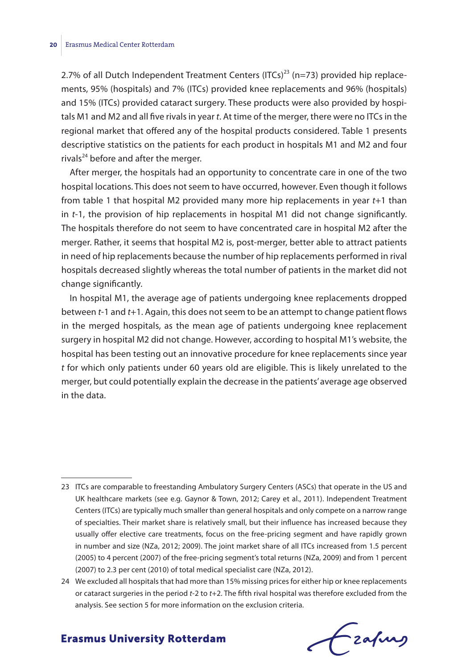2.7% of all Dutch Independent Treatment Centers (ITCs)<sup>23</sup> (n=73) provided hip replacements, 95% (hospitals) and 7% (ITCs) provided knee replacements and 96% (hospitals) and 15% (ITCs) provided cataract surgery. These products were also provided by hospitals M1 and M2 and all five rivals in year *t*. At time of the merger, there were no ITCs in the regional market that offered any of the hospital products considered. Table 1 presents descriptive statistics on the patients for each product in hospitals M1 and M2 and four rivals<sup>24</sup> before and after the merger.

After merger, the hospitals had an opportunity to concentrate care in one of the two hospital locations. This does not seem to have occurred, however. Even though it follows from table 1 that hospital M2 provided many more hip replacements in year *t*+1 than in *t*-1, the provision of hip replacements in hospital M1 did not change significantly. The hospitals therefore do not seem to have concentrated care in hospital M2 after the merger. Rather, it seems that hospital M2 is, post-merger, better able to attract patients in need of hip replacements because the number of hip replacements performed in rival hospitals decreased slightly whereas the total number of patients in the market did not change significantly.

In hospital M1, the average age of patients undergoing knee replacements dropped between *t*-1 and *t*+1. Again, this does not seem to be an attempt to change patient flows in the merged hospitals, as the mean age of patients undergoing knee replacement surgery in hospital M2 did not change. However, according to hospital M1's website, the hospital has been testing out an innovative procedure for knee replacements since year *t* for which only patients under 60 years old are eligible. This is likely unrelated to the merger, but could potentially explain the decrease in the patients' average age observed in the data.

Frahing

<sup>23</sup> ITCs are comparable to freestanding Ambulatory Surgery Centers (ASCs) that operate in the US and UK healthcare markets (see e.g. Gaynor & Town, 2012; Carey et al., 2011). Independent Treatment Centers (ITCs) are typically much smaller than general hospitals and only compete on a narrow range of specialties. Their market share is relatively small, but their influence has increased because they usually offer elective care treatments, focus on the free-pricing segment and have rapidly grown in number and size (NZa, 2012; 2009). The joint market share of all ITCs increased from 1.5 percent (2005) to 4 percent (2007) of the free-pricing segment's total returns (NZa, 2009) and from 1 percent (2007) to 2.3 per cent (2010) of total medical specialist care (NZa, 2012).

<sup>24</sup> We excluded all hospitals that had more than 15% missing prices for either hip or knee replacements or cataract surgeries in the period *t*-2 to *t*+2. The fifth rival hospital was therefore excluded from the analysis. See section 5 for more information on the exclusion criteria.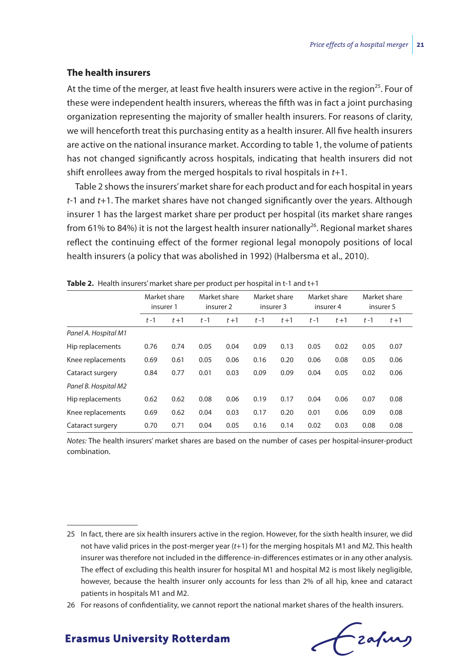#### **The health insurers**

At the time of the merger, at least five health insurers were active in the region<sup>25</sup>. Four of these were independent health insurers, whereas the fifth was in fact a joint purchasing organization representing the majority of smaller health insurers. For reasons of clarity, we will henceforth treat this purchasing entity as a health insurer. All five health insurers are active on the national insurance market. According to table 1, the volume of patients has not changed significantly across hospitals, indicating that health insurers did not shift enrollees away from the merged hospitals to rival hospitals in *t*+1.

Table 2 shows the insurers' market share for each product and for each hospital in years *t*-1 and *t*+1. The market shares have not changed significantly over the years. Although insurer 1 has the largest market share per product per hospital (its market share ranges from 61% to 84%) it is not the largest health insurer nationally<sup>26</sup>. Regional market shares reflect the continuing effect of the former regional legal monopoly positions of local health insurers (a policy that was abolished in 1992) (Halbersma et al., 2010).

|                      | Market share<br>insurer 1 |         | Market share<br>insurer 2 |         | Market share<br>insurer 3 |         | Market share<br>insurer 4 |         | Market share<br>insurer 5 |         |
|----------------------|---------------------------|---------|---------------------------|---------|---------------------------|---------|---------------------------|---------|---------------------------|---------|
|                      | $t-1$                     | $t + 1$ | $t-1$                     | $t + 1$ | $t-1$                     | $t + 1$ | $t-1$                     | $t + 1$ | $t - 1$                   | $t + 1$ |
| Panel A. Hospital M1 |                           |         |                           |         |                           |         |                           |         |                           |         |
| Hip replacements     | 0.76                      | 0.74    | 0.05                      | 0.04    | 0.09                      | 0.13    | 0.05                      | 0.02    | 0.05                      | 0.07    |
| Knee replacements    | 0.69                      | 0.61    | 0.05                      | 0.06    | 0.16                      | 0.20    | 0.06                      | 0.08    | 0.05                      | 0.06    |
| Cataract surgery     | 0.84                      | 0.77    | 0.01                      | 0.03    | 0.09                      | 0.09    | 0.04                      | 0.05    | 0.02                      | 0.06    |
| Panel B. Hospital M2 |                           |         |                           |         |                           |         |                           |         |                           |         |
| Hip replacements     | 0.62                      | 0.62    | 0.08                      | 0.06    | 0.19                      | 0.17    | 0.04                      | 0.06    | 0.07                      | 0.08    |
| Knee replacements    | 0.69                      | 0.62    | 0.04                      | 0.03    | 0.17                      | 0.20    | 0.01                      | 0.06    | 0.09                      | 0.08    |
| Cataract surgery     | 0.70                      | 0.71    | 0.04                      | 0.05    | 0.16                      | 0.14    | 0.02                      | 0.03    | 0.08                      | 0.08    |

*Notes:* The health insurers' market shares are based on the number of cases per hospital-insurer-product combination.

frafing

<sup>25</sup> In fact, there are six health insurers active in the region. However, for the sixth health insurer, we did not have valid prices in the post-merger year (*t*+1) for the merging hospitals M1 and M2. This health insurer was therefore not included in the difference-in-differences estimates or in any other analysis. The effect of excluding this health insurer for hospital M1 and hospital M2 is most likely negligible, however, because the health insurer only accounts for less than 2% of all hip, knee and cataract patients in hospitals M1 and M2.

<sup>26</sup> For reasons of confidentiality, we cannot report the national market shares of the health insurers.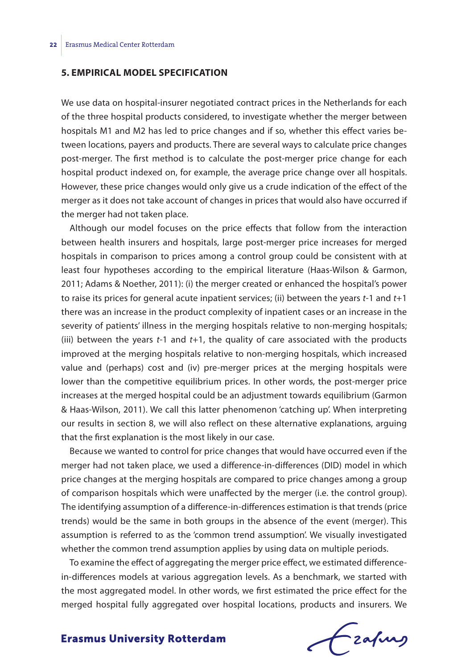#### **5. EMPIRICAL MODEL SPECIFICATION**

We use data on hospital-insurer negotiated contract prices in the Netherlands for each of the three hospital products considered, to investigate whether the merger between hospitals M1 and M2 has led to price changes and if so, whether this effect varies between locations, payers and products. There are several ways to calculate price changes post-merger. The first method is to calculate the post-merger price change for each hospital product indexed on, for example, the average price change over all hospitals. However, these price changes would only give us a crude indication of the effect of the merger as it does not take account of changes in prices that would also have occurred if the merger had not taken place.

Although our model focuses on the price effects that follow from the interaction between health insurers and hospitals, large post-merger price increases for merged hospitals in comparison to prices among a control group could be consistent with at least four hypotheses according to the empirical literature (Haas-Wilson & Garmon, 2011; Adams & Noether, 2011): (i) the merger created or enhanced the hospital's power to raise its prices for general acute inpatient services; (ii) between the years *t*-1 and *t*+1 there was an increase in the product complexity of inpatient cases or an increase in the severity of patients' illness in the merging hospitals relative to non-merging hospitals; (iii) between the years *t*-1 and *t*+1, the quality of care associated with the products improved at the merging hospitals relative to non-merging hospitals, which increased value and (perhaps) cost and (iv) pre-merger prices at the merging hospitals were lower than the competitive equilibrium prices. In other words, the post-merger price increases at the merged hospital could be an adjustment towards equilibrium (Garmon & Haas-Wilson, 2011). We call this latter phenomenon 'catching up'. When interpreting our results in section 8, we will also reflect on these alternative explanations, arguing that the first explanation is the most likely in our case.

Because we wanted to control for price changes that would have occurred even if the merger had not taken place, we used a difference-in-differences (DID) model in which price changes at the merging hospitals are compared to price changes among a group of comparison hospitals which were unaffected by the merger (i.e. the control group). The identifying assumption of a difference-in-differences estimation is that trends (price trends) would be the same in both groups in the absence of the event (merger). This assumption is referred to as the 'common trend assumption'. We visually investigated whether the common trend assumption applies by using data on multiple periods.

To examine the effect of aggregating the merger price effect, we estimated differencein-differences models at various aggregation levels. As a benchmark, we started with the most aggregated model. In other words, we first estimated the price effect for the merged hospital fully aggregated over hospital locations, products and insurers. We

Frahing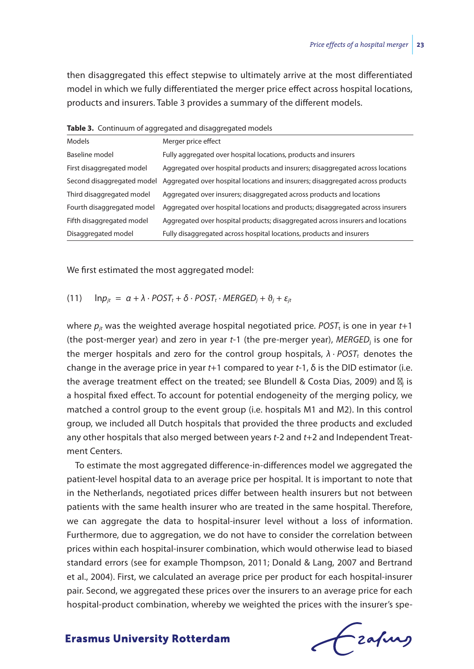then disaggregated this effect stepwise to ultimately arrive at the most differentiated model in which we fully differentiated the merger price effect across hospital locations, products and insurers. Table 3 provides a summary of the different models.

| Models                     | Merger price effect                                                            |
|----------------------------|--------------------------------------------------------------------------------|
| Baseline model             | Fully aggregated over hospital locations, products and insurers                |
| First disaggregated model  | Aggregated over hospital products and insurers; disaggregated across locations |
| Second disaggregated model | Aggregated over hospital locations and insurers; disaggregated across products |
| Third disaggregated model  | Aggregated over insurers; disaggregated across products and locations          |
| Fourth disaggregated model | Aggregated over hospital locations and products; disaggregated across insurers |
| Fifth disaggregated model  | Aggregated over hospital products; disaggregated across insurers and locations |
| Disaggregated model        | Fully disaggregated across hospital locations, products and insurers           |
|                            |                                                                                |

**Table 3.** Continuum of aggregated and disaggregated models

We first estimated the most aggregated model:

 $(n+1)$  ln $p_{it} = \alpha + \lambda \cdot POST_t + \delta \cdot POST_t \cdot MERGED_i + \vartheta_i + \varepsilon_{it}$ 

where  $p_i$  was the weighted average hospital negotiated price. *POST*<sub>t</sub> is one in year  $t+1$ (the post-merger year) and zero in year *t*-1 (the pre-merger year), *MERGED*j is one for the merger hospitals and zero for the control group hospitals,  $λ \cdot POST$ , denotes the change in the average price in year *t*+1 compared to year *t*-1, δ is the DID estimator (i.e. the average treatment effect on the treated; see Blundell & Costa Dias, 2009) and *j* is a hospital fixed effect. To account for potential endogeneity of the merging policy, we matched a control group to the event group (i.e. hospitals M1 and M2). In this control group, we included all Dutch hospitals that provided the three products and excluded any other hospitals that also merged between years *t*-2 and *t*+2 and Independent Treatment Centers.

To estimate the most aggregated difference-in-differences model we aggregated the patient-level hospital data to an average price per hospital. It is important to note that in the Netherlands, negotiated prices differ between health insurers but not between patients with the same health insurer who are treated in the same hospital. Therefore, we can aggregate the data to hospital-insurer level without a loss of information. Furthermore, due to aggregation, we do not have to consider the correlation between prices within each hospital-insurer combination, which would otherwise lead to biased standard errors (see for example Thompson, 2011; Donald & Lang, 2007 and Bertrand et al., 2004). First, we calculated an average price per product for each hospital-insurer pair. Second, we aggregated these prices over the insurers to an average price for each hospital-product combination, whereby we weighted the prices with the insurer's spe-

Frafing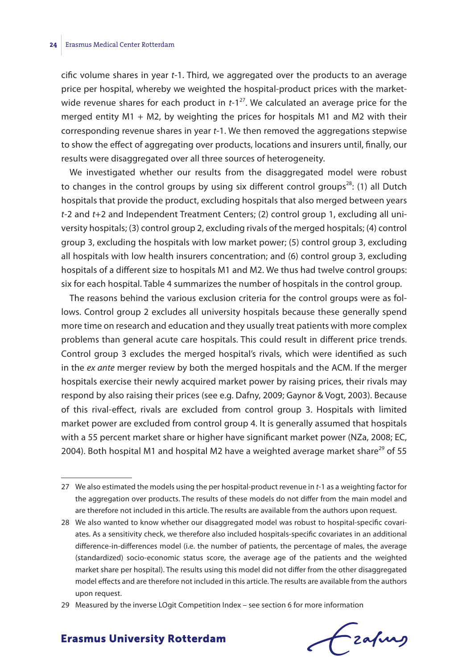cific volume shares in year *t*-1. Third, we aggregated over the products to an average price per hospital, whereby we weighted the hospital-product prices with the marketwide revenue shares for each product in *t*-1<sup>27</sup>. We calculated an average price for the merged entity  $M1 + M2$ , by weighting the prices for hospitals  $M1$  and  $M2$  with their corresponding revenue shares in year *t*-1. We then removed the aggregations stepwise to show the effect of aggregating over products, locations and insurers until, finally, our results were disaggregated over all three sources of heterogeneity.

We investigated whether our results from the disaggregated model were robust to changes in the control groups by using six different control groups<sup>28</sup>: (1) all Dutch hospitals that provide the product, excluding hospitals that also merged between years *t*-2 and *t*+2 and Independent Treatment Centers; (2) control group 1, excluding all university hospitals; (3) control group 2, excluding rivals of the merged hospitals; (4) control group 3, excluding the hospitals with low market power; (5) control group 3, excluding all hospitals with low health insurers concentration; and (6) control group 3, excluding hospitals of a different size to hospitals M1 and M2. We thus had twelve control groups: six for each hospital. Table 4 summarizes the number of hospitals in the control group.

The reasons behind the various exclusion criteria for the control groups were as follows. Control group 2 excludes all university hospitals because these generally spend more time on research and education and they usually treat patients with more complex problems than general acute care hospitals. This could result in different price trends. Control group 3 excludes the merged hospital's rivals, which were identified as such in the *ex ante* merger review by both the merged hospitals and the ACM. If the merger hospitals exercise their newly acquired market power by raising prices, their rivals may respond by also raising their prices (see e.g. Dafny, 2009; Gaynor & Vogt, 2003). Because of this rival-effect, rivals are excluded from control group 3. Hospitals with limited market power are excluded from control group 4. It is generally assumed that hospitals with a 55 percent market share or higher have significant market power (NZa, 2008; EC, 2004). Both hospital M1 and hospital M2 have a weighted average market share $^{29}$  of 55

fzafung

<sup>27</sup> We also estimated the models using the per hospital-product revenue in *t*-1 as a weighting factor for the aggregation over products. The results of these models do not differ from the main model and are therefore not included in this article. The results are available from the authors upon request.

<sup>28</sup> We also wanted to know whether our disaggregated model was robust to hospital-specific covariates. As a sensitivity check, we therefore also included hospitals-specific covariates in an additional difference-in-differences model (i.e. the number of patients, the percentage of males, the average (standardized) socio-economic status score, the average age of the patients and the weighted market share per hospital). The results using this model did not differ from the other disaggregated model effects and are therefore not included in this article. The results are available from the authors upon request.

<sup>29</sup> Measured by the inverse LOgit Competition Index – see section 6 for more information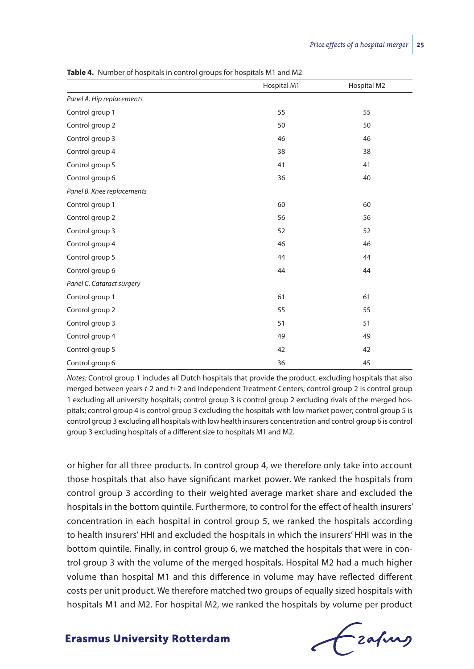|                            | Hospital M1 | Hospital M2 |
|----------------------------|-------------|-------------|
| Panel A. Hip replacements  |             |             |
| Control group 1            | 55          | 55          |
| Control group 2            | 50          | 50          |
| Control group 3            | 46          | 46          |
| Control group 4            | 38          | 38          |
| Control group 5            | 41          | 41          |
| Control group 6            | 36          | 40          |
| Panel B. Knee replacements |             |             |
| Control group 1            | 60          | 60          |
| Control group 2            | 56          | 56          |
| Control group 3            | 52          | 52          |
| Control group 4            | 46          | 46          |
| Control group 5            | 44          | 44          |
| Control group 6            | 44          | 44          |
| Panel C. Cataract surgery  |             |             |
| Control group 1            | 61          | 61          |
| Control group 2            | 55          | 55          |
| Control group 3            | 51          | 51          |
| Control group 4            | 49          | 49          |
| Control group 5            | 42          | 42          |
| Control group 6            | 36          | 45          |

**Table 4.** Number of hospitals in control groups for hospitals M1 and M2

*Notes:* Control group 1 includes all Dutch hospitals that provide the product, excluding hospitals that also merged between years *t*-2 and *t*+2 and Independent Treatment Centers; control group 2 is control group 1 excluding all university hospitals; control group 3 is control group 2 excluding rivals of the merged hospitals; control group 4 is control group 3 excluding the hospitals with low market power; control group 5 is control group 3 excluding all hospitals with low health insurers concentration and control group 6 is control group 3 excluding hospitals of a different size to hospitals M1 and M2.

or higher for all three products. In control group 4, we therefore only take into account those hospitals that also have significant market power. We ranked the hospitals from control group 3 according to their weighted average market share and excluded the hospitals in the bottom quintile. Furthermore, to control for the effect of health insurers' concentration in each hospital in control group 5, we ranked the hospitals according to health insurers' HHI and excluded the hospitals in which the insurers' HHI was in the bottom quintile. Finally, in control group 6, we matched the hospitals that were in control group 3 with the volume of the merged hospitals. Hospital M2 had a much higher volume than hospital M1 and this difference in volume may have reflected different costs per unit product. We therefore matched two groups of equally sized hospitals with hospitals M1 and M2. For hospital M2, we ranked the hospitals by volume per product

frafing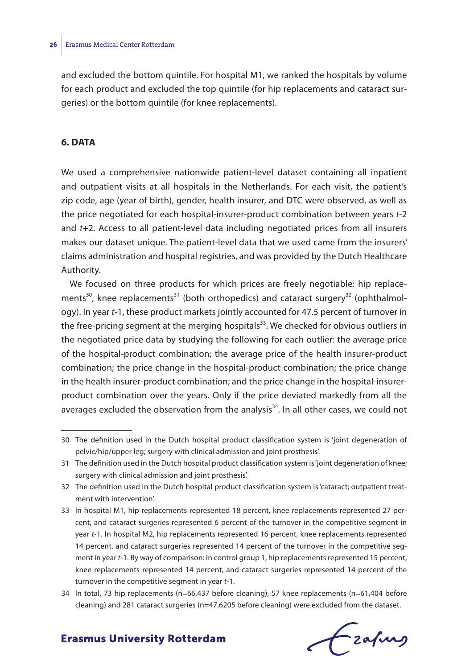and excluded the bottom quintile. For hospital M1, we ranked the hospitals by volume for each product and excluded the top quintile (for hip replacements and cataract surgeries) or the bottom quintile (for knee replacements).

#### **6. DATA**

We used a comprehensive nationwide patient-level dataset containing all inpatient and outpatient visits at all hospitals in the Netherlands. For each visit, the patient's zip code, age (year of birth), gender, health insurer, and DTC were observed, as well as the price negotiated for each hospital-insurer-product combination between years *t*-2 and *t*+2. Access to all patient-level data including negotiated prices from all insurers makes our dataset unique. The patient-level data that we used came from the insurers' claims administration and hospital registries, and was provided by the Dutch Healthcare Authority.

We focused on three products for which prices are freely negotiable: hip replacements<sup>30</sup>, knee replacements<sup>31</sup> (both orthopedics) and cataract surgery<sup>32</sup> (ophthalmology). In year *t*-1, these product markets jointly accounted for 47.5 percent of turnover in the free-pricing segment at the merging hospitals<sup>33</sup>. We checked for obvious outliers in the negotiated price data by studying the following for each outlier: the average price of the hospital-product combination; the average price of the health insurer-product combination; the price change in the hospital-product combination; the price change in the health insurer-product combination; and the price change in the hospital-insurerproduct combination over the years. Only if the price deviated markedly from all the averages excluded the observation from the analysis<sup>34</sup>. In all other cases, we could not

# frafing

<sup>30</sup> The definition used in the Dutch hospital product classification system is 'joint degeneration of pelvic/hip/upper leg; surgery with clinical admission and joint prosthesis'.

<sup>31</sup> The definition used in the Dutch hospital product classification system is 'joint degeneration of knee; surgery with clinical admission and joint prosthesis'.

<sup>32</sup> The definition used in the Dutch hospital product classification system is 'cataract; outpatient treatment with intervention'.

<sup>33</sup> In hospital M1, hip replacements represented 18 percent, knee replacements represented 27 percent, and cataract surgeries represented 6 percent of the turnover in the competitive segment in year *t*-1. In hospital M2, hip replacements represented 16 percent, knee replacements represented 14 percent, and cataract surgeries represented 14 percent of the turnover in the competitive segment in year *t*-1. By way of comparison: in control group 1, hip replacements represented 15 percent, knee replacements represented 14 percent, and cataract surgeries represented 14 percent of the turnover in the competitive segment in year *t*-1.

<sup>34</sup> In total, 73 hip replacements (n=66,437 before cleaning), 57 knee replacements (n=61,404 before cleaning) and 281 cataract surgeries (n=47,6205 before cleaning) were excluded from the dataset.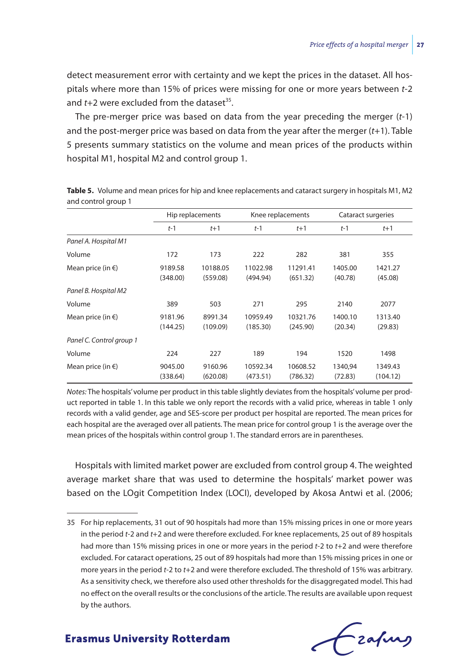detect measurement error with certainty and we kept the prices in the dataset. All hospitals where more than 15% of prices were missing for one or more years between *t*-2 and  $t+2$  were excluded from the dataset<sup>35</sup>.

The pre-merger price was based on data from the year preceding the merger (*t*-1) and the post-merger price was based on data from the year after the merger (*t*+1). Table 5 presents summary statistics on the volume and mean prices of the products within hospital M1, hospital M2 and control group 1.

|                             |                     | Knee replacements<br>Hip replacements |                      |                      | Cataract surgeries |                     |
|-----------------------------|---------------------|---------------------------------------|----------------------|----------------------|--------------------|---------------------|
|                             | $t-1$               | $t+1$                                 | $t-1$                | $t+1$                | $t-1$              | $t+1$               |
| Panel A. Hospital M1        |                     |                                       |                      |                      |                    |                     |
| Volume                      | 172                 | 173                                   | 222                  | 282                  | 381                | 355                 |
| Mean price (in $\epsilon$ ) | 9189.58<br>(348.00) | 10188.05<br>(559.08)                  | 11022.98<br>(494.94) | 11291.41<br>(651.32) | 1405.00<br>(40.78) | 1421.27<br>(45.08)  |
| Panel B. Hospital M2        |                     |                                       |                      |                      |                    |                     |
| Volume                      | 389                 | 503                                   | 271                  | 295                  | 2140               | 2077                |
| Mean price (in $\epsilon$ ) | 9181.96<br>(144.25) | 8991.34<br>(109.09)                   | 10959.49<br>(185.30) | 10321.76<br>(245.90) | 1400.10<br>(20.34) | 1313.40<br>(29.83)  |
| Panel C. Control group 1    |                     |                                       |                      |                      |                    |                     |
| Volume                      | 224                 | 227                                   | 189                  | 194                  | 1520               | 1498                |
| Mean price (in $\epsilon$ ) | 9045.00<br>(338.64) | 9160.96<br>(620.08)                   | 10592.34<br>(473.51) | 10608.52<br>(786.32) | 1340,94<br>(72.83) | 1349.43<br>(104.12) |

**Table 5.** Volume and mean prices for hip and knee replacements and cataract surgery in hospitals M1, M2 and control group 1

*Notes:* The hospitals' volume per product in this table slightly deviates from the hospitals' volume per product reported in table 1. In this table we only report the records with a valid price, whereas in table 1 only records with a valid gender, age and SES-score per product per hospital are reported. The mean prices for each hospital are the averaged over all patients. The mean price for control group 1 is the average over the mean prices of the hospitals within control group 1. The standard errors are in parentheses.

Hospitals with limited market power are excluded from control group 4. The weighted average market share that was used to determine the hospitals' market power was based on the LOgit Competition Index (LOCI), developed by Akosa Antwi et al. (2006;

Czafing

<sup>35</sup> For hip replacements, 31 out of 90 hospitals had more than 15% missing prices in one or more years in the period *t*-2 and *t*+2 and were therefore excluded. For knee replacements, 25 out of 89 hospitals had more than 15% missing prices in one or more years in the period *t*-2 to *t*+2 and were therefore excluded. For cataract operations, 25 out of 89 hospitals had more than 15% missing prices in one or more years in the period *t*-2 to *t*+2 and were therefore excluded. The threshold of 15% was arbitrary. As a sensitivity check, we therefore also used other thresholds for the disaggregated model. This had no effect on the overall results or the conclusions of the article. The results are available upon request by the authors.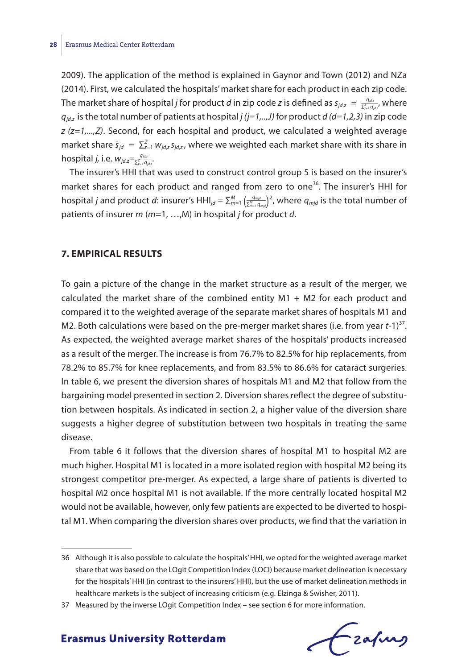2009). The application of the method is explained in Gaynor and Town (2012) and NZa (2014). First, we calculated the hospitals' market share for each product in each zip code. *zoos)*. The application of the method is explained in dayflor and fown (2012) and tizal (2014). First, we calculated the hospitals' market share for each product in each zip code.<br>The market share of hospital *j* for pro  $q_{idz}$  is the total number of patients at hospital *j (j=1,..,J)* for product *d (d=1,2,3)* in zip code *z (z=1,...,Z)*. Second, for each hospital and product, we calculated a weighted average  $m$ arket share  $\bar{s}_{jd} = \sum_{z=1}^{Z} w_{jd,z} s_{jd,z}$ , where we weighted each market share with its share in market share  $\bar{s}_{jd} = \sum_{z=1}^{Z}$ <br>hospital *j*, i.e.  $w_{jd,z} = \frac{q_{jd,z}}{\sum_{z=1}^{Z} q_{jd,z}}$  $\frac{q_{jd,z}}{\sum_{z=1}^{Z} q_{jd,z}}$ 

The insurer's HHI that was used to construct control group 5 is based on the insurer's market shares for each product and ranged from zero to one<sup>36</sup>. The insurer's HHI for he insurer's HHI that was used to construct contribution<br> *market shares for each product and ranged from*<br> *hospital j and product d*: insurer's HHI<sub>*jd*</sub> = ∑<sup>*m*<sub>=1</sub> ( $\frac{q_{m\mu}}{\sum_{m=1}^{M} q_{m\mu}}$ </sup> *qmjd* ∑*<sup>m</sup>*=1 *<sup>M</sup> qmjd*) 2 , where *qmjd* is the total number of patients of insurer *m* (*m*=1, …,M) in hospital *j* for product *d*.

#### **7. EMPIRICAL RESULTS**

To gain a picture of the change in the market structure as a result of the merger, we calculated the market share of the combined entity M1 + M2 for each product and compared it to the weighted average of the separate market shares of hospitals M1 and M2. Both calculations were based on the pre-merger market shares (i.e. from year *t*-1)<sup>37</sup>. As expected, the weighted average market shares of the hospitals' products increased as a result of the merger. The increase is from 76.7% to 82.5% for hip replacements, from 78.2% to 85.7% for knee replacements, and from 83.5% to 86.6% for cataract surgeries. In table 6, we present the diversion shares of hospitals M1 and M2 that follow from the bargaining model presented in section 2. Diversion shares reflect the degree of substitution between hospitals. As indicated in section 2, a higher value of the diversion share suggests a higher degree of substitution between two hospitals in treating the same disease.

From table 6 it follows that the diversion shares of hospital M1 to hospital M2 are much higher. Hospital M1 is located in a more isolated region with hospital M2 being its strongest competitor pre-merger. As expected, a large share of patients is diverted to hospital M2 once hospital M1 is not available. If the more centrally located hospital M2 would not be available, however, only few patients are expected to be diverted to hospital M1. When comparing the diversion shares over products, we find that the variation in

frafing

<sup>36</sup> Although it is also possible to calculate the hospitals' HHI, we opted for the weighted average market share that was based on the LOgit Competition Index (LOCI) because market delineation is necessary for the hospitals' HHI (in contrast to the insurers' HHI), but the use of market delineation methods in healthcare markets is the subject of increasing criticism (e.g. Elzinga & Swisher, 2011).

<sup>37</sup> Measured by the inverse LOgit Competition Index – see section 6 for more information.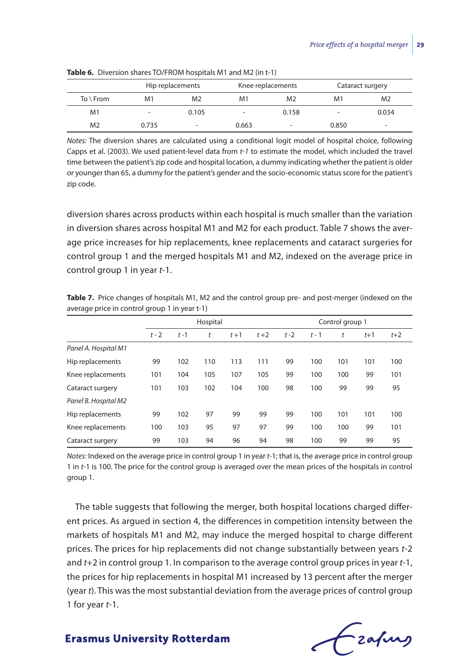|                     | Hip replacements |                          |                          | Knee replacements        | Cataract surgery |                |  |
|---------------------|------------------|--------------------------|--------------------------|--------------------------|------------------|----------------|--|
| $To \setminus$ From | M1               | M <sub>2</sub>           | M1                       | M <sub>2</sub>           | M1               | M <sub>2</sub> |  |
| M1                  |                  | 0.105                    | $\overline{\phantom{a}}$ | 0.158                    | -                | 0.034          |  |
| M <sub>2</sub>      | 0.735            | $\overline{\phantom{0}}$ | 0.663                    | $\overline{\phantom{0}}$ | 0.850            | -              |  |

**Table 6.** Diversion shares TO/FROM hospitals M1 and M2 (in t-1)

*Notes:* The diversion shares are calculated using a conditional logit model of hospital choice, following Capps et al. (2003). We used patient-level data from *t-1* to estimate the model, which included the travel time between the patient's zip code and hospital location, a dummy indicating whether the patient is older or younger than 65, a dummy for the patient's gender and the socio-economic status score for the patient's zip code.

diversion shares across products within each hospital is much smaller than the variation in diversion shares across hospital M1 and M2 for each product. Table 7 shows the average price increases for hip replacements, knee replacements and cataract surgeries for control group 1 and the merged hospitals M1 and M2, indexed on the average price in control group 1 in year *t*-1.

|                                               |          | Table 7. Price changes of hospitals M1, M2 and the control group pre- and post-merger (indexed on the |
|-----------------------------------------------|----------|-------------------------------------------------------------------------------------------------------|
| average price in control group 1 in year t-1) |          |                                                                                                       |
|                                               | Hospital | Control group 1                                                                                       |

|                      |         |         | Hospital |         |       |         |         | Control group 1 |       |       |
|----------------------|---------|---------|----------|---------|-------|---------|---------|-----------------|-------|-------|
|                      | $t - 2$ | $t - 1$ | t        | $t + 1$ | $t+2$ | $t - 2$ | $t - 1$ | t               | $t+1$ | $t+2$ |
| Panel A. Hospital M1 |         |         |          |         |       |         |         |                 |       |       |
| Hip replacements     | 99      | 102     | 110      | 113     | 111   | 99      | 100     | 101             | 101   | 100   |
| Knee replacements    | 101     | 104     | 105      | 107     | 105   | 99      | 100     | 100             | 99    | 101   |
| Cataract surgery     | 101     | 103     | 102      | 104     | 100   | 98      | 100     | 99              | 99    | 95    |
| Panel B. Hospital M2 |         |         |          |         |       |         |         |                 |       |       |
| Hip replacements     | 99      | 102     | 97       | 99      | 99    | 99      | 100     | 101             | 101   | 100   |
| Knee replacements    | 100     | 103     | 95       | 97      | 97    | 99      | 100     | 100             | 99    | 101   |
| Cataract surgery     | 99      | 103     | 94       | 96      | 94    | 98      | 100     | 99              | 99    | 95    |

*Notes:* Indexed on the average price in control group 1 in year *t*-1; that is, the average price in control group 1 in *t*-1 is 100. The price for the control group is averaged over the mean prices of the hospitals in control group 1.

The table suggests that following the merger, both hospital locations charged different prices. As argued in section 4, the differences in competition intensity between the markets of hospitals M1 and M2, may induce the merged hospital to charge different prices. The prices for hip replacements did not change substantially between years *t*-2 and *t*+2 in control group 1. In comparison to the average control group prices in year *t*-1, the prices for hip replacements in hospital M1 increased by 13 percent after the merger (year *t*). This was the most substantial deviation from the average prices of control group 1 for year *t*-1.

Czafing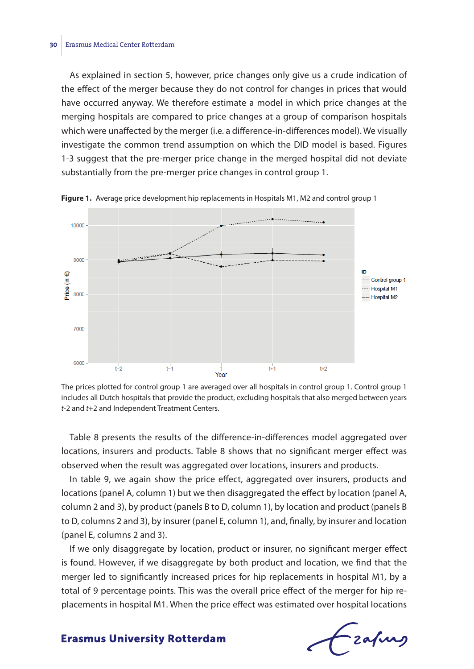As explained in section 5, however, price changes only give us a crude indication of the effect of the merger because they do not control for changes in prices that would have occurred anyway. We therefore estimate a model in which price changes at the merging hospitals are compared to price changes at a group of comparison hospitals which were unaffected by the merger (i.e. a difference-in-differences model). We visually investigate the common trend assumption on which the DID model is based. Figures 1-3 suggest that the pre-merger price change in the merged hospital did not deviate substantially from the pre-merger price changes in control group 1.



**Figure 1.** Average price development hip replacements in Hospitals M1, M2 and control group 1

Table 8 presents the results of the difference-in-differences model aggregated over locations, insurers and products. Table 8 shows that no significant merger effect was observed when the result was aggregated over locations, insurers and products.

In table 9, we again show the price effect, aggregated over insurers, products and locations (panel A, column 1) but we then disaggregated the effect by location (panel A, column 2 and 3), by product (panels B to D, column 1), by location and product (panels B to D, columns 2 and 3), by insurer (panel E, column 1), and, finally, by insurer and location (panel E, columns 2 and 3).

If we only disaggregate by location, product or insurer, no significant merger effect is found. However, if we disaggregate by both product and location, we find that the merger led to significantly increased prices for hip replacements in hospital M1, by a total of 9 percentage points. This was the overall price effect of the merger for hip replacements in hospital M1. When the price effect was estimated over hospital locations

-zafurg

The prices plotted for control group 1 are averaged over all hospitals in control group 1. Control group 1 includes all Dutch hospitals that provide the product, excluding hospitals that also merged between years *t*-2 and *t*+2 and Independent Treatment Centers.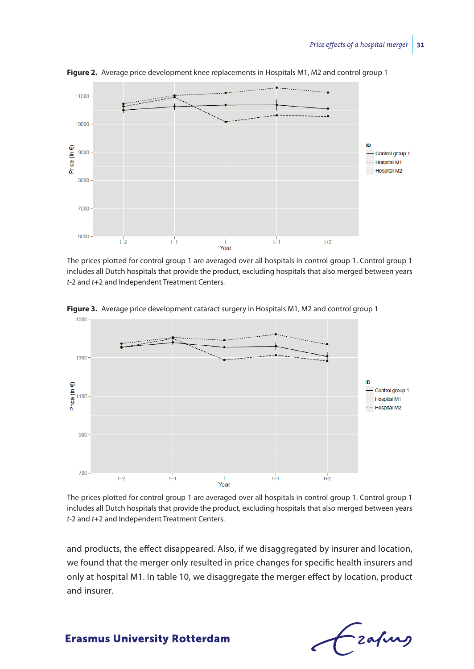

**Figure 2.** Average price development knee replacements in Hospitals M1, M2 and control group 1

The prices plotted for control group 1 are averaged over all hospitals in control group 1. Control group 1 includes all Dutch hospitals that provide the product, excluding hospitals that also merged between years *t*-2 and *t*+2 and Independent Treatment Centers.



**Figure 3.** Average price development cataract surgery in Hospitals M1, M2 and control group 1

The prices plotted for control group 1 are averaged over all hospitals in control group 1. Control group 1 includes all Dutch hospitals that provide the product, excluding hospitals that also merged between years *t*-2 and *t*+2 and Independent Treatment Centers.

and products, the effect disappeared. Also, if we disaggregated by insurer and location, we found that the merger only resulted in price changes for specific health insurers and only at hospital M1. In table 10, we disaggregate the merger effect by location, product and insurer.

- zafung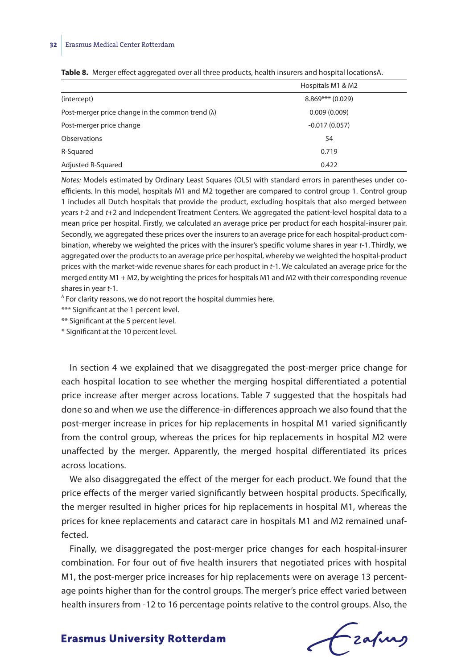|                                                          | Hospitals M1 & M2  |
|----------------------------------------------------------|--------------------|
| (intercept)                                              | $8.869***$ (0.029) |
| Post-merger price change in the common trend $(\lambda)$ | 0.009(0.009)       |
| Post-merger price change                                 | $-0.017(0.057)$    |
| Observations                                             | 54                 |
| R-Squared                                                | 0.719              |
| Adjusted R-Squared                                       | 0.422              |

|  |  | Table 8. Merger effect aggregated over all three products, health insurers and hospital locationsA. |  |  |  |  |  |  |
|--|--|-----------------------------------------------------------------------------------------------------|--|--|--|--|--|--|
|--|--|-----------------------------------------------------------------------------------------------------|--|--|--|--|--|--|

*Notes:* Models estimated by Ordinary Least Squares (OLS) with standard errors in parentheses under coefficients. In this model, hospitals M1 and M2 together are compared to control group 1. Control group 1 includes all Dutch hospitals that provide the product, excluding hospitals that also merged between years *t*-2 and *t*+2 and Independent Treatment Centers. We aggregated the patient-level hospital data to a mean price per hospital. Firstly, we calculated an average price per product for each hospital-insurer pair. Secondly, we aggregated these prices over the insurers to an average price for each hospital-product combination, whereby we weighted the prices with the insurer's specific volume shares in year *t*-1. Thirdly, we aggregated over the products to an average price per hospital, whereby we weighted the hospital-product prices with the market-wide revenue shares for each product in *t*-1. We calculated an average price for the merged entity M1 + M2, by weighting the prices for hospitals M1 and M2 with their corresponding revenue shares in year *t*-1.

<sup>A</sup> For clarity reasons, we do not report the hospital dummies here.

\*\*\* Significant at the 1 percent level.

\*\* Significant at the 5 percent level.

\* Significant at the 10 percent level.

In section 4 we explained that we disaggregated the post-merger price change for each hospital location to see whether the merging hospital differentiated a potential price increase after merger across locations. Table 7 suggested that the hospitals had done so and when we use the difference-in-differences approach we also found that the post-merger increase in prices for hip replacements in hospital M1 varied significantly from the control group, whereas the prices for hip replacements in hospital M2 were unaffected by the merger. Apparently, the merged hospital differentiated its prices across locations.

We also disaggregated the effect of the merger for each product. We found that the price effects of the merger varied significantly between hospital products. Specifically, the merger resulted in higher prices for hip replacements in hospital M1, whereas the prices for knee replacements and cataract care in hospitals M1 and M2 remained unaffected.

Finally, we disaggregated the post-merger price changes for each hospital-insurer combination. For four out of five health insurers that negotiated prices with hospital M1, the post-merger price increases for hip replacements were on average 13 percentage points higher than for the control groups. The merger's price effect varied between health insurers from -12 to 16 percentage points relative to the control groups. Also, the

Frafing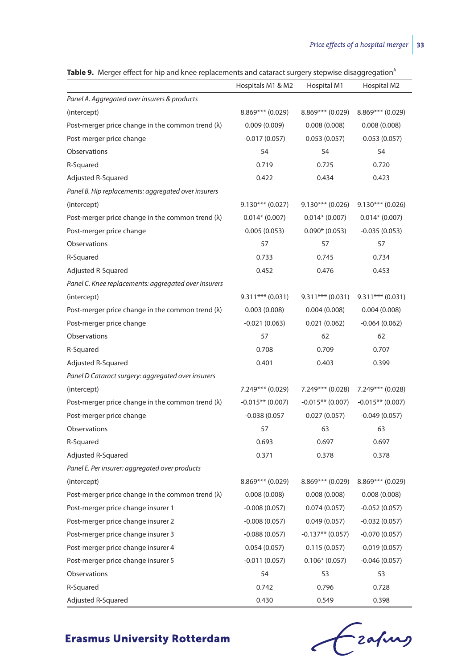| ne si merger eneet for mp and miee replacements and catalact sargery stepmise disaggregation |                    |                    |                    |
|----------------------------------------------------------------------------------------------|--------------------|--------------------|--------------------|
|                                                                                              | Hospitals M1 & M2  | Hospital M1        | Hospital M2        |
| Panel A. Aggregated over insurers & products                                                 |                    |                    |                    |
| (intercept)                                                                                  | $8.869***$ (0.029) | $8.869***$ (0.029) | $8.869***$ (0.029) |
| Post-merger price change in the common trend $(\lambda)$                                     | 0.009(0.009)       | 0.008(0.008)       | 0.008(0.008)       |
| Post-merger price change                                                                     | $-0.017(0.057)$    | 0.053(0.057)       | $-0.053(0.057)$    |
| Observations                                                                                 | 54                 | 54                 | 54                 |
| R-Squared                                                                                    | 0.719              | 0.725              | 0.720              |
| Adjusted R-Squared                                                                           | 0.422              | 0.434              | 0.423              |
| Panel B. Hip replacements: aggregated over insurers                                          |                    |                    |                    |
| (intercept)                                                                                  | $9.130***$ (0.027) | $9.130***$ (0.026) | $9.130***$ (0.026) |
| Post-merger price change in the common trend $(\lambda)$                                     | $0.014*(0.007)$    | $0.014*(0.007)$    | $0.014*(0.007)$    |
| Post-merger price change                                                                     | 0.005(0.053)       | $0.090* (0.053)$   | $-0.035(0.053)$    |
| Observations                                                                                 | 57                 | 57                 | 57                 |
| R-Squared                                                                                    | 0.733              | 0.745              | 0.734              |
| Adjusted R-Squared                                                                           | 0.452              | 0.476              | 0.453              |
| Panel C. Knee replacements: aggregated over insurers                                         |                    |                    |                    |
| (intercept)                                                                                  | $9.311***$ (0.031) | $9.311***$ (0.031) | $9.311***$ (0.031) |
| Post-merger price change in the common trend $(\lambda)$                                     | 0.003(0.008)       | 0.004(0.008)       | 0.004(0.008)       |
| Post-merger price change                                                                     | $-0.021(0.063)$    | 0.021(0.062)       | $-0.064(0.062)$    |
| Observations                                                                                 | 57                 | 62                 | 62                 |
| R-Squared                                                                                    | 0.708              | 0.709              | 0.707              |
| Adjusted R-Squared                                                                           | 0.401              | 0.403              | 0.399              |
| Panel D Cataract surgery: aggregated over insurers                                           |                    |                    |                    |
| (intercept)                                                                                  | 7.249*** (0.029)   | 7.249*** (0.028)   | $7.249*** (0.028)$ |
| Post-merger price change in the common trend $(\lambda)$                                     | $-0.015**$ (0.007) | $-0.015**$ (0.007) | $-0.015**$ (0.007) |
| Post-merger price change                                                                     | $-0.038(0.057)$    | 0.027(0.057)       | $-0.049(0.057)$    |
| Observations                                                                                 | 57                 | 63                 | 63                 |
| R-Squared                                                                                    | 0.693              | 0.697              | 0.697              |
| Adjusted R-Squared                                                                           | 0.371              | 0.378              | 0.378              |
| Panel E. Per insurer: aggregated over products                                               |                    |                    |                    |
| (intercept)                                                                                  | $8.869***$ (0.029) | $8.869***$ (0.029) | $8.869***$ (0.029) |
| Post-merger price change in the common trend $(\lambda)$                                     | 0.008(0.008)       | 0.008(0.008)       | 0.008(0.008)       |
| Post-merger price change insurer 1                                                           | $-0.008(0.057)$    | 0.074(0.057)       | $-0.052(0.057)$    |
| Post-merger price change insurer 2                                                           | $-0.008(0.057)$    | 0.049(0.057)       | $-0.032(0.057)$    |
| Post-merger price change insurer 3                                                           | $-0.088(0.057)$    | $-0.137**$ (0.057) | $-0.070(0.057)$    |
| Post-merger price change insurer 4                                                           | 0.054(0.057)       | 0.115(0.057)       | $-0.019(0.057)$    |
| Post-merger price change insurer 5                                                           | $-0.011(0.057)$    | $0.106*(0.057)$    | $-0.046(0.057)$    |
| <b>Observations</b>                                                                          | 54                 | 53                 | 53                 |
| R-Squared                                                                                    | 0.742              | 0.796              | 0.728              |
| Adjusted R-Squared                                                                           | 0.430              | 0.549              | 0.398              |

Table 9. Merger effect for hip and knee replacements and cataract surgery stepwise disaggregation<sup>A</sup>

Czapus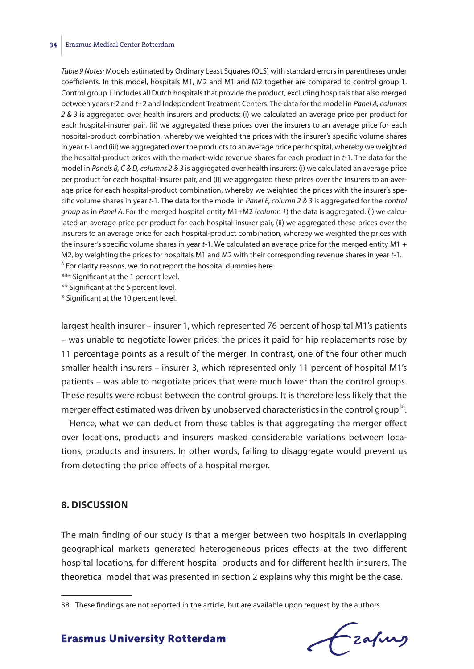#### **34** Erasmus Medical Center Rotterdam

*Table 9 Notes:* Models estimated by Ordinary Least Squares (OLS) with standard errors in parentheses under coefficients. In this model, hospitals M1, M2 and M1 and M2 together are compared to control group 1. Control group 1 includes all Dutch hospitals that provide the product, excluding hospitals that also merged between years *t*-2 and *t*+2 and Independent Treatment Centers. The data for the model in *Panel A, columns 2 & 3* is aggregated over health insurers and products: (i) we calculated an average price per product for each hospital-insurer pair, (ii) we aggregated these prices over the insurers to an average price for each hospital-product combination, whereby we weighted the prices with the insurer's specific volume shares in year *t*-1 and (iii) we aggregated over the products to an average price per hospital, whereby we weighted the hospital-product prices with the market-wide revenue shares for each product in *t*-1. The data for the model in *Panels B, C & D, columns 2 & 3* is aggregated over health insurers: (i) we calculated an average price per product for each hospital-insurer pair, and (ii) we aggregated these prices over the insurers to an average price for each hospital-product combination, whereby we weighted the prices with the insurer's specific volume shares in year *t*-1. The data for the model in *Panel E, column 2 & 3* is aggregated for the *control group* as in *Panel A*. For the merged hospital entity M1+M2 (*column 1*) the data is aggregated: (i) we calculated an average price per product for each hospital-insurer pair, (ii) we aggregated these prices over the insurers to an average price for each hospital-product combination, whereby we weighted the prices with the insurer's specific volume shares in year *t*-1. We calculated an average price for the merged entity M1 + M2, by weighting the prices for hospitals M1 and M2 with their corresponding revenue shares in year *t*-1. <sup>A</sup> For clarity reasons, we do not report the hospital dummies here.

\*\*\* Significant at the 1 percent level.

\*\* Significant at the 5 percent level.

\* Significant at the 10 percent level.

largest health insurer – insurer 1, which represented 76 percent of hospital M1's patients – was unable to negotiate lower prices: the prices it paid for hip replacements rose by 11 percentage points as a result of the merger. In contrast, one of the four other much smaller health insurers – insurer 3, which represented only 11 percent of hospital M1's patients – was able to negotiate prices that were much lower than the control groups. These results were robust between the control groups. It is therefore less likely that the merger effect estimated was driven by unobserved characteristics in the control group<sup>38</sup>.

Hence, what we can deduct from these tables is that aggregating the merger effect over locations, products and insurers masked considerable variations between locations, products and insurers. In other words, failing to disaggregate would prevent us from detecting the price effects of a hospital merger.

#### **8. DISCUSSION**

The main finding of our study is that a merger between two hospitals in overlapping geographical markets generated heterogeneous prices effects at the two different hospital locations, for different hospital products and for different health insurers. The theoretical model that was presented in section 2 explains why this might be the case.

Frafing

<sup>38</sup> These findings are not reported in the article, but are available upon request by the authors.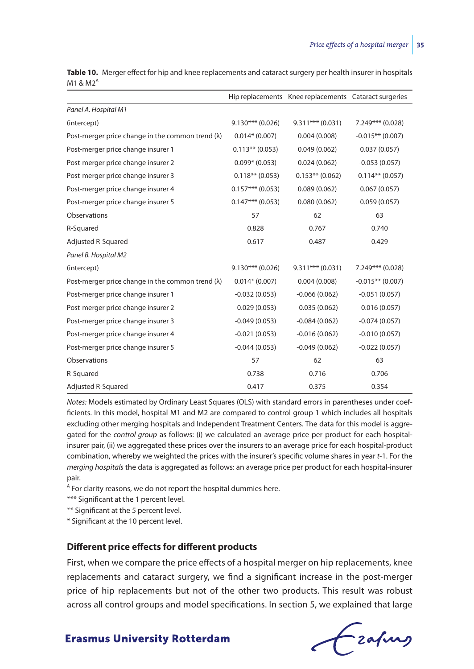|                                                          |                    | Hip replacements Knee replacements Cataract surgeries |                    |
|----------------------------------------------------------|--------------------|-------------------------------------------------------|--------------------|
| Panel A. Hospital M1                                     |                    |                                                       |                    |
| (intercept)                                              | $9.130***$ (0.026) | $9.311***$ (0.031)                                    | 7.249*** (0.028)   |
| Post-merger price change in the common trend $(\lambda)$ | $0.014*(0.007)$    | 0.004(0.008)                                          | $-0.015**$ (0.007) |
| Post-merger price change insurer 1                       | $0.113**$ (0.053)  | 0.049(0.062)                                          | 0.037(0.057)       |
| Post-merger price change insurer 2                       | $0.099* (0.053)$   | 0.024(0.062)                                          | $-0.053(0.057)$    |
| Post-merger price change insurer 3                       | $-0.118**$ (0.053) | $-0.153**$ (0.062)                                    | $-0.114**$ (0.057) |
| Post-merger price change insurer 4                       | $0.157***$ (0.053) | 0.089(0.062)                                          | 0.067(0.057)       |
| Post-merger price change insurer 5                       | $0.147***$ (0.053) | 0.080(0.062)                                          | 0.059(0.057)       |
| Observations                                             | 57                 | 62                                                    | 63                 |
| R-Squared                                                | 0.828              | 0.767                                                 | 0.740              |
| Adjusted R-Squared                                       | 0.617              | 0.487                                                 | 0.429              |
| Panel B. Hospital M2                                     |                    |                                                       |                    |
| (intercept)                                              | $9.130***$ (0.026) | $9.311***$ (0.031)                                    | 7.249*** (0.028)   |
| Post-merger price change in the common trend $(\lambda)$ | $0.014* (0.007)$   | 0.004(0.008)                                          | $-0.015**$ (0.007) |
| Post-merger price change insurer 1                       | $-0.032(0.053)$    | $-0.066(0.062)$                                       | $-0.051(0.057)$    |
| Post-merger price change insurer 2                       | $-0.029(0.053)$    | $-0.035(0.062)$                                       | $-0.016(0.057)$    |
| Post-merger price change insurer 3                       | $-0.049(0.053)$    | $-0.084(0.062)$                                       | $-0.074(0.057)$    |
| Post-merger price change insurer 4                       | $-0.021(0.053)$    | $-0.016(0.062)$                                       | $-0.010(0.057)$    |
| Post-merger price change insurer 5                       | $-0.044(0.053)$    | $-0.049(0.062)$                                       | $-0.022(0.057)$    |
| Observations                                             | 57                 | 62                                                    | 63                 |
| R-Squared                                                | 0.738              | 0.716                                                 | 0.706              |
| Adjusted R-Squared                                       | 0.417              | 0.375                                                 | 0.354              |

**Table 10.** Merger effect for hip and knee replacements and cataract surgery per health insurer in hospitals  $M1$  &  $M2<sup>A</sup>$ 

*Notes:* Models estimated by Ordinary Least Squares (OLS) with standard errors in parentheses under coefficients. In this model, hospital M1 and M2 are compared to control group 1 which includes all hospitals excluding other merging hospitals and Independent Treatment Centers. The data for this model is aggregated for the *control group* as follows: (i) we calculated an average price per product for each hospitalinsurer pair, (ii) we aggregated these prices over the insurers to an average price for each hospital-product combination, whereby we weighted the prices with the insurer's specific volume shares in year *t*-1. For the *merging hospitals* the data is aggregated as follows: an average price per product for each hospital-insurer pair.

<sup>A</sup> For clarity reasons, we do not report the hospital dummies here.

\*\*\* Significant at the 1 percent level.

\*\* Significant at the 5 percent level.

\* Significant at the 10 percent level.

#### **Different price effects for different products**

First, when we compare the price effects of a hospital merger on hip replacements, knee replacements and cataract surgery, we find a significant increase in the post-merger price of hip replacements but not of the other two products. This result was robust across all control groups and model specifications. In section 5, we explained that large

fzafung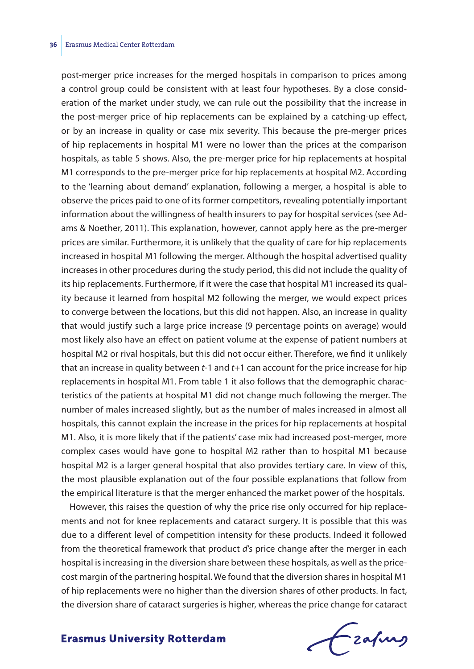post-merger price increases for the merged hospitals in comparison to prices among a control group could be consistent with at least four hypotheses. By a close consideration of the market under study, we can rule out the possibility that the increase in the post-merger price of hip replacements can be explained by a catching-up effect, or by an increase in quality or case mix severity. This because the pre-merger prices of hip replacements in hospital M1 were no lower than the prices at the comparison hospitals, as table 5 shows. Also, the pre-merger price for hip replacements at hospital M1 corresponds to the pre-merger price for hip replacements at hospital M2. According to the 'learning about demand' explanation, following a merger, a hospital is able to observe the prices paid to one of its former competitors, revealing potentially important information about the willingness of health insurers to pay for hospital services (see Adams & Noether, 2011). This explanation, however, cannot apply here as the pre-merger prices are similar. Furthermore, it is unlikely that the quality of care for hip replacements increased in hospital M1 following the merger. Although the hospital advertised quality increases in other procedures during the study period, this did not include the quality of its hip replacements. Furthermore, if it were the case that hospital M1 increased its quality because it learned from hospital M2 following the merger, we would expect prices to converge between the locations, but this did not happen. Also, an increase in quality that would justify such a large price increase (9 percentage points on average) would most likely also have an effect on patient volume at the expense of patient numbers at hospital M2 or rival hospitals, but this did not occur either. Therefore, we find it unlikely that an increase in quality between *t*-1 and *t*+1 can account for the price increase for hip replacements in hospital M1. From table 1 it also follows that the demographic characteristics of the patients at hospital M1 did not change much following the merger. The number of males increased slightly, but as the number of males increased in almost all hospitals, this cannot explain the increase in the prices for hip replacements at hospital M1. Also, it is more likely that if the patients' case mix had increased post-merger, more complex cases would have gone to hospital M2 rather than to hospital M1 because hospital M2 is a larger general hospital that also provides tertiary care. In view of this, the most plausible explanation out of the four possible explanations that follow from the empirical literature is that the merger enhanced the market power of the hospitals.

However, this raises the question of why the price rise only occurred for hip replacements and not for knee replacements and cataract surgery. It is possible that this was due to a different level of competition intensity for these products. Indeed it followed from the theoretical framework that product *d*'s price change after the merger in each hospital is increasing in the diversion share between these hospitals, as well as the pricecost margin of the partnering hospital. We found that the diversion shares in hospital M1 of hip replacements were no higher than the diversion shares of other products. In fact, the diversion share of cataract surgeries is higher, whereas the price change for cataract

Frahing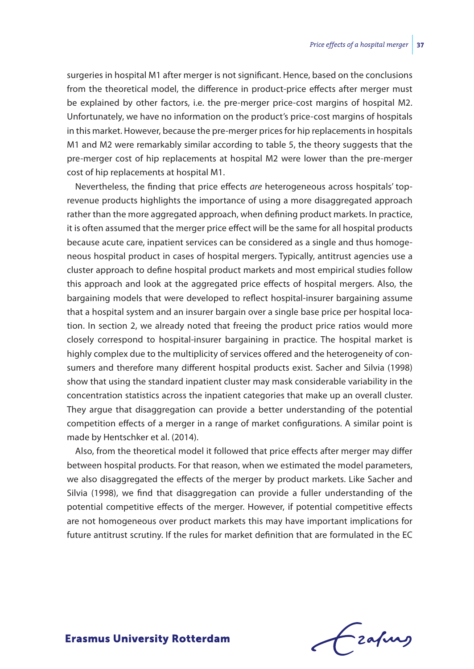surgeries in hospital M1 after merger is not significant. Hence, based on the conclusions from the theoretical model, the difference in product-price effects after merger must be explained by other factors, i.e. the pre-merger price-cost margins of hospital M2. Unfortunately, we have no information on the product's price-cost margins of hospitals in this market. However, because the pre-merger prices for hip replacements in hospitals M1 and M2 were remarkably similar according to table 5, the theory suggests that the pre-merger cost of hip replacements at hospital M2 were lower than the pre-merger cost of hip replacements at hospital M1.

Nevertheless, the finding that price effects *are* heterogeneous across hospitals' toprevenue products highlights the importance of using a more disaggregated approach rather than the more aggregated approach, when defining product markets. In practice, it is often assumed that the merger price effect will be the same for all hospital products because acute care, inpatient services can be considered as a single and thus homogeneous hospital product in cases of hospital mergers. Typically, antitrust agencies use a cluster approach to define hospital product markets and most empirical studies follow this approach and look at the aggregated price effects of hospital mergers. Also, the bargaining models that were developed to reflect hospital-insurer bargaining assume that a hospital system and an insurer bargain over a single base price per hospital location. In section 2, we already noted that freeing the product price ratios would more closely correspond to hospital-insurer bargaining in practice. The hospital market is highly complex due to the multiplicity of services offered and the heterogeneity of consumers and therefore many different hospital products exist. Sacher and Silvia (1998) show that using the standard inpatient cluster may mask considerable variability in the concentration statistics across the inpatient categories that make up an overall cluster. They argue that disaggregation can provide a better understanding of the potential competition effects of a merger in a range of market configurations. A similar point is made by Hentschker et al. (2014).

Also, from the theoretical model it followed that price effects after merger may differ between hospital products. For that reason, when we estimated the model parameters, we also disaggregated the effects of the merger by product markets. Like Sacher and Silvia (1998), we find that disaggregation can provide a fuller understanding of the potential competitive effects of the merger. However, if potential competitive effects are not homogeneous over product markets this may have important implications for future antitrust scrutiny. If the rules for market definition that are formulated in the EC

frafing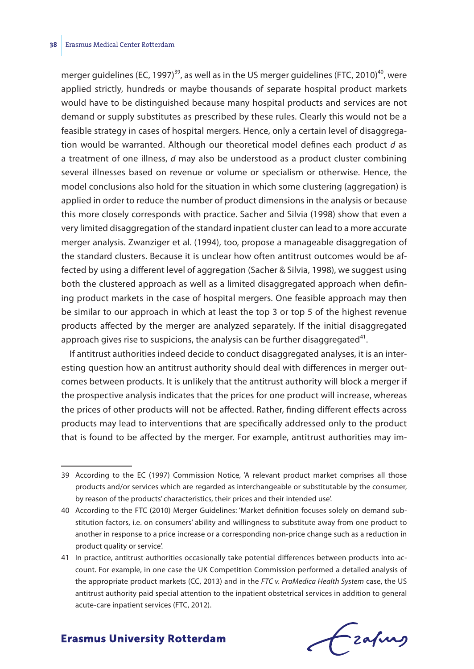merger guidelines (EC, 1997)<sup>39</sup>, as well as in the US merger guidelines (FTC, 2010)<sup>40</sup>, were applied strictly, hundreds or maybe thousands of separate hospital product markets would have to be distinguished because many hospital products and services are not demand or supply substitutes as prescribed by these rules. Clearly this would not be a feasible strategy in cases of hospital mergers. Hence, only a certain level of disaggregation would be warranted. Although our theoretical model defines each product *d* as a treatment of one illness, *d* may also be understood as a product cluster combining several illnesses based on revenue or volume or specialism or otherwise. Hence, the model conclusions also hold for the situation in which some clustering (aggregation) is applied in order to reduce the number of product dimensions in the analysis or because this more closely corresponds with practice. Sacher and Silvia (1998) show that even a very limited disaggregation of the standard inpatient cluster can lead to a more accurate merger analysis. Zwanziger et al. (1994), too, propose a manageable disaggregation of the standard clusters. Because it is unclear how often antitrust outcomes would be affected by using a different level of aggregation (Sacher & Silvia, 1998), we suggest using both the clustered approach as well as a limited disaggregated approach when defining product markets in the case of hospital mergers. One feasible approach may then be similar to our approach in which at least the top 3 or top 5 of the highest revenue products affected by the merger are analyzed separately. If the initial disaggregated approach gives rise to suspicions, the analysis can be further disaggregated<sup>41</sup>.

If antitrust authorities indeed decide to conduct disaggregated analyses, it is an interesting question how an antitrust authority should deal with differences in merger outcomes between products. It is unlikely that the antitrust authority will block a merger if the prospective analysis indicates that the prices for one product will increase, whereas the prices of other products will not be affected. Rather, finding different effects across products may lead to interventions that are specifically addressed only to the product that is found to be affected by the merger. For example, antitrust authorities may im-

frafing

<sup>39</sup> According to the EC (1997) Commission Notice, 'A relevant product market comprises all those products and/or services which are regarded as interchangeable or substitutable by the consumer, by reason of the products' characteristics, their prices and their intended use'.

<sup>40</sup> According to the FTC (2010) Merger Guidelines: 'Market definition focuses solely on demand substitution factors, i.e. on consumers' ability and willingness to substitute away from one product to another in response to a price increase or a corresponding non-price change such as a reduction in product quality or service'.

<sup>41</sup> In practice, antitrust authorities occasionally take potential differences between products into account. For example, in one case the UK Competition Commission performed a detailed analysis of the appropriate product markets (CC, 2013) and in the *FTC v. ProMedica Health System* case, the US antitrust authority paid special attention to the inpatient obstetrical services in addition to general acute-care inpatient services (FTC, 2012).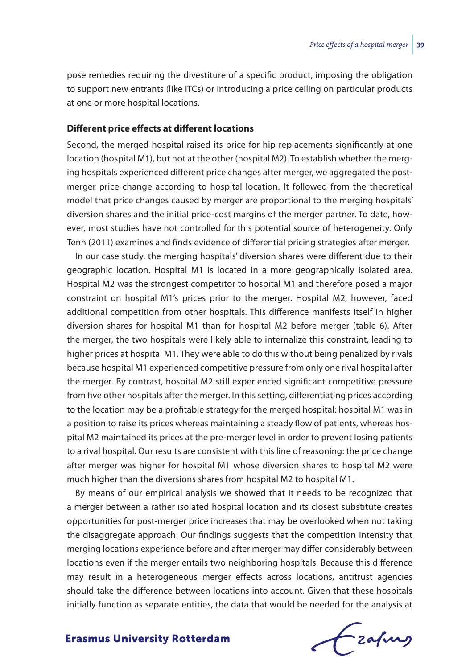pose remedies requiring the divestiture of a specific product, imposing the obligation to support new entrants (like ITCs) or introducing a price ceiling on particular products at one or more hospital locations.

#### **Different price effects at different locations**

Second, the merged hospital raised its price for hip replacements significantly at one location (hospital M1), but not at the other (hospital M2). To establish whether the merging hospitals experienced different price changes after merger, we aggregated the postmerger price change according to hospital location. It followed from the theoretical model that price changes caused by merger are proportional to the merging hospitals' diversion shares and the initial price-cost margins of the merger partner. To date, however, most studies have not controlled for this potential source of heterogeneity. Only Tenn (2011) examines and finds evidence of differential pricing strategies after merger.

In our case study, the merging hospitals' diversion shares were different due to their geographic location. Hospital M1 is located in a more geographically isolated area. Hospital M2 was the strongest competitor to hospital M1 and therefore posed a major constraint on hospital M1's prices prior to the merger. Hospital M2, however, faced additional competition from other hospitals. This difference manifests itself in higher diversion shares for hospital M1 than for hospital M2 before merger (table 6). After the merger, the two hospitals were likely able to internalize this constraint, leading to higher prices at hospital M1. They were able to do this without being penalized by rivals because hospital M1 experienced competitive pressure from only one rival hospital after the merger. By contrast, hospital M2 still experienced significant competitive pressure from five other hospitals after the merger. In this setting, differentiating prices according to the location may be a profitable strategy for the merged hospital: hospital M1 was in a position to raise its prices whereas maintaining a steady flow of patients, whereas hospital M2 maintained its prices at the pre-merger level in order to prevent losing patients to a rival hospital. Our results are consistent with this line of reasoning: the price change after merger was higher for hospital M1 whose diversion shares to hospital M2 were much higher than the diversions shares from hospital M2 to hospital M1.

By means of our empirical analysis we showed that it needs to be recognized that a merger between a rather isolated hospital location and its closest substitute creates opportunities for post-merger price increases that may be overlooked when not taking the disaggregate approach. Our findings suggests that the competition intensity that merging locations experience before and after merger may differ considerably between locations even if the merger entails two neighboring hospitals. Because this difference may result in a heterogeneous merger effects across locations, antitrust agencies should take the difference between locations into account. Given that these hospitals initially function as separate entities, the data that would be needed for the analysis at

Frahing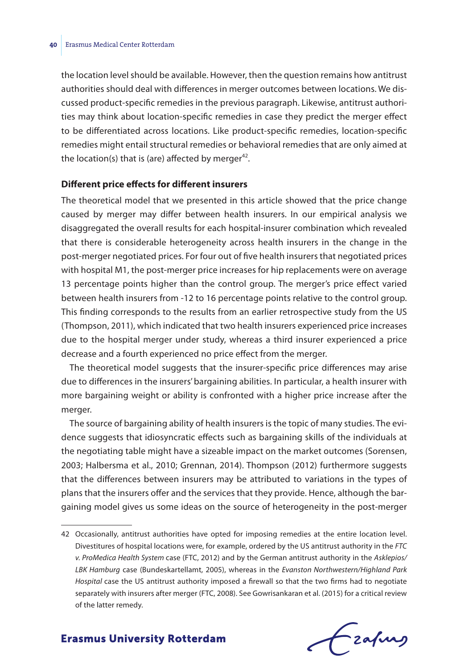the location level should be available. However, then the question remains how antitrust authorities should deal with differences in merger outcomes between locations. We discussed product-specific remedies in the previous paragraph. Likewise, antitrust authorities may think about location-specific remedies in case they predict the merger effect to be differentiated across locations. Like product-specific remedies, location-specific remedies might entail structural remedies or behavioral remedies that are only aimed at the location(s) that is (are) affected by merger<sup>42</sup>.

#### **Different price effects for different insurers**

The theoretical model that we presented in this article showed that the price change caused by merger may differ between health insurers. In our empirical analysis we disaggregated the overall results for each hospital-insurer combination which revealed that there is considerable heterogeneity across health insurers in the change in the post-merger negotiated prices. For four out of five health insurers that negotiated prices with hospital M1, the post-merger price increases for hip replacements were on average 13 percentage points higher than the control group. The merger's price effect varied between health insurers from -12 to 16 percentage points relative to the control group. This finding corresponds to the results from an earlier retrospective study from the US (Thompson, 2011), which indicated that two health insurers experienced price increases due to the hospital merger under study, whereas a third insurer experienced a price decrease and a fourth experienced no price effect from the merger.

The theoretical model suggests that the insurer-specific price differences may arise due to differences in the insurers' bargaining abilities. In particular, a health insurer with more bargaining weight or ability is confronted with a higher price increase after the merger.

The source of bargaining ability of health insurers is the topic of many studies. The evidence suggests that idiosyncratic effects such as bargaining skills of the individuals at the negotiating table might have a sizeable impact on the market outcomes (Sorensen, 2003; Halbersma et al., 2010; Grennan, 2014). Thompson (2012) furthermore suggests that the differences between insurers may be attributed to variations in the types of plans that the insurers offer and the services that they provide. Hence, although the bargaining model gives us some ideas on the source of heterogeneity in the post-merger

fzafung

<sup>42</sup> Occasionally, antitrust authorities have opted for imposing remedies at the entire location level. Divestitures of hospital locations were, for example, ordered by the US antitrust authority in the *FTC v. ProMedica Health System* case (FTC, 2012) and by the German antitrust authority in the *Asklepios/ LBK Hamburg* case (Bundeskartellamt, 2005), whereas in the *Evanston Northwestern/Highland Park Hospital* case the US antitrust authority imposed a firewall so that the two firms had to negotiate separately with insurers after merger (FTC, 2008). See Gowrisankaran et al. (2015) for a critical review of the latter remedy.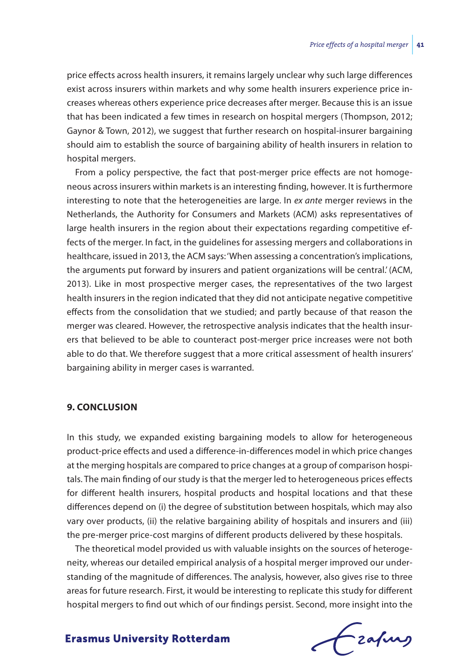price effects across health insurers, it remains largely unclear why such large differences exist across insurers within markets and why some health insurers experience price increases whereas others experience price decreases after merger. Because this is an issue that has been indicated a few times in research on hospital mergers (Thompson, 2012; Gaynor & Town, 2012), we suggest that further research on hospital-insurer bargaining should aim to establish the source of bargaining ability of health insurers in relation to hospital mergers.

From a policy perspective, the fact that post-merger price effects are not homogeneous across insurers within markets is an interesting finding, however. It is furthermore interesting to note that the heterogeneities are large. In *ex ante* merger reviews in the Netherlands, the Authority for Consumers and Markets (ACM) asks representatives of large health insurers in the region about their expectations regarding competitive effects of the merger. In fact, in the guidelines for assessing mergers and collaborations in healthcare, issued in 2013, the ACM says: 'When assessing a concentration's implications, the arguments put forward by insurers and patient organizations will be central.' (ACM, 2013). Like in most prospective merger cases, the representatives of the two largest health insurers in the region indicated that they did not anticipate negative competitive effects from the consolidation that we studied; and partly because of that reason the merger was cleared. However, the retrospective analysis indicates that the health insurers that believed to be able to counteract post-merger price increases were not both able to do that. We therefore suggest that a more critical assessment of health insurers' bargaining ability in merger cases is warranted.

#### **9. CONCLUSION**

In this study, we expanded existing bargaining models to allow for heterogeneous product-price effects and used a difference-in-differences model in which price changes at the merging hospitals are compared to price changes at a group of comparison hospitals. The main finding of our study is that the merger led to heterogeneous prices effects for different health insurers, hospital products and hospital locations and that these differences depend on (i) the degree of substitution between hospitals, which may also vary over products, (ii) the relative bargaining ability of hospitals and insurers and (iii) the pre-merger price-cost margins of different products delivered by these hospitals.

The theoretical model provided us with valuable insights on the sources of heterogeneity, whereas our detailed empirical analysis of a hospital merger improved our understanding of the magnitude of differences. The analysis, however, also gives rise to three areas for future research. First, it would be interesting to replicate this study for different hospital mergers to find out which of our findings persist. Second, more insight into the

frafing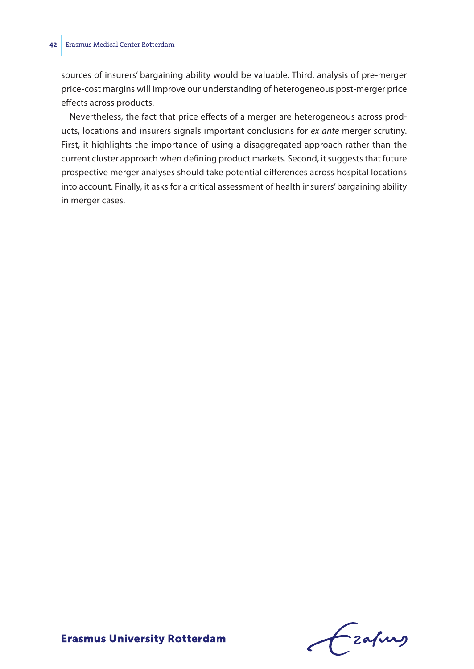#### **42** Erasmus Medical Center Rotterdam

sources of insurers' bargaining ability would be valuable. Third, analysis of pre-merger price-cost margins will improve our understanding of heterogeneous post-merger price effects across products.

Nevertheless, the fact that price effects of a merger are heterogeneous across products, locations and insurers signals important conclusions for *ex ante* merger scrutiny. First, it highlights the importance of using a disaggregated approach rather than the current cluster approach when defining product markets. Second, it suggests that future prospective merger analyses should take potential differences across hospital locations into account. Finally, it asks for a critical assessment of health insurers' bargaining ability in merger cases.

Frahing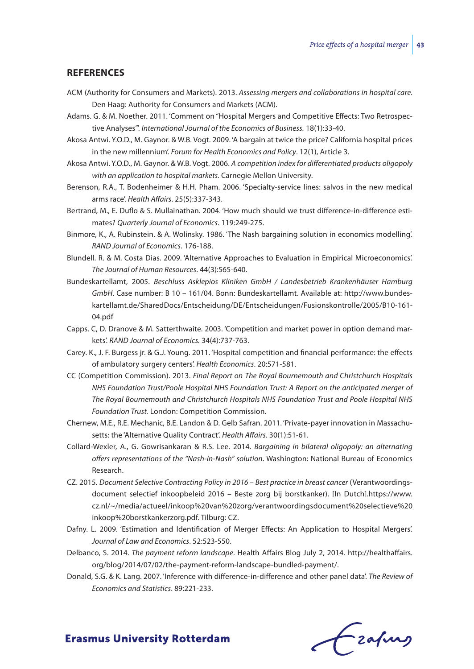#### **REFERENCES**

- ACM (Authority for Consumers and Markets). 2013. *Assessing mergers and collaborations in hospital care*. Den Haag: Authority for Consumers and Markets (ACM).
- Adams. G. & M. Noether. 2011. 'Comment on "Hospital Mergers and Competitive Effects: Two Retrospective Analyses"'. *International Journal of the Economics of Business.* 18(1):33-40.
- Akosa Antwi. Y.O.D., M. Gaynor. & W.B. Vogt. 2009. 'A bargain at twice the price? California hospital prices in the new millennium'. *Forum for Health Economics and Policy*. 12(1), Article 3.
- Akosa Antwi. Y.O.D., M. Gaynor. & W.B. Vogt. 2006. *A competition index for differentiated products oligopoly with an application to hospital markets.* Carnegie Mellon University.
- Berenson, R.A., T. Bodenheimer & H.H. Pham. 2006. 'Specialty-service lines: salvos in the new medical arms race'. *Health Affairs*. 25(5):337-343.
- Bertrand, M., E. Duflo & S. Mullainathan. 2004. 'How much should we trust difference-in-difference estimates? *Quarterly Journal of Economics*. 119:249-275.
- Binmore, K., A. Rubinstein. & A. Wolinsky. 1986. 'The Nash bargaining solution in economics modelling'. *RAND Journal of Economics*. 176-188.
- Blundell. R. & M. Costa Dias. 2009. 'Alternative Approaches to Evaluation in Empirical Microeconomics'. *The Journal of Human Resources*. 44(3):565-640.
- Bundeskartellamt, 2005. *Beschluss Asklepios Kliniken GmbH / Landesbetrieb Krankenhäuser Hamburg GmbH*. Case number: B 10 – 161/04. Bonn: Bundeskartellamt. Available at: http://www.bundeskartellamt.de/SharedDocs/Entscheidung/DE/Entscheidungen/Fusionskontrolle/2005/B10-161- 04.pdf
- Capps. C, D. Dranove & M. Satterthwaite. 2003. 'Competition and market power in option demand markets'. *RAND Journal of Economics.* 34(4):737-763.
- Carey. K., J. F. Burgess jr. & G.J. Young. 2011. 'Hospital competition and financial performance: the effects of ambulatory surgery centers'. *Health Economics*. 20:571-581.
- CC (Competition Commission). 2013. *Final Report on The Royal Bournemouth and Christchurch Hospitals NHS Foundation Trust/Poole Hospital NHS Foundation Trust: A Report on the anticipated merger of The Royal Bournemouth and Christchurch Hospitals NHS Foundation Trust and Poole Hospital NHS Foundation Trust.* London: Competition Commission.
- Chernew, M.E., R.E. Mechanic, B.E. Landon & D. Gelb Safran. 2011. 'Private-payer innovation in Massachusetts: the 'Alternative Quality Contract'. *Health Affairs*. 30(1):51-61.
- Collard-Wexler, A., G. Gowrisankaran & R.S. Lee. 2014. *Bargaining in bilateral oligopoly: an alternating offers representations of the "Nash-in-Nash" solution*. Washington: National Bureau of Economics Research.
- CZ. 2015. *Document Selective Contracting Policy in 2016 Best practice in breast cancer* (Verantwoordingsdocument selectief inkoopbeleid 2016 – Beste zorg bij borstkanker). [In Dutch].https://www. cz.nl/~/media/actueel/inkoop%20van%20zorg/verantwoordingsdocument%20selectieve%20 inkoop%20borstkankerzorg.pdf. Tilburg: CZ.
- Dafny. L. 2009. 'Estimation and Identification of Merger Effects: An Application to Hospital Mergers'. *Journal of Law and Economics*. 52:523-550.
- Delbanco, S. 2014. *The payment reform landscape*. Health Affairs Blog July 2, 2014. http://healthaffairs. org/blog/2014/07/02/the-payment-reform-landscape-bundled-payment/.
- Donald, S.G. & K. Lang. 2007. 'Inference with difference-in-difference and other panel data'. *The Review of Economics and Statistics*. 89:221-233.

Czafing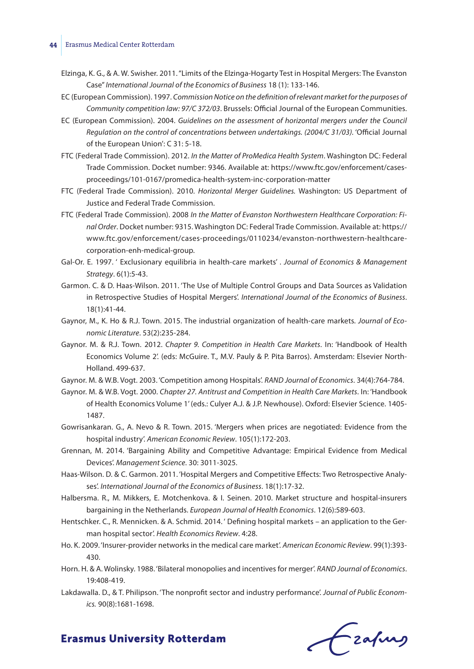#### **44** Erasmus Medical Center Rotterdam

- Elzinga, K. G., & A. W. Swisher. 2011. "Limits of the Elzinga-Hogarty Test in Hospital Mergers: The Evanston Case" *International Journal of the Economics of Business* 18 (1): 133-146.
- EC (European Commission). 1997. *Commission Notice on the definition of relevant market for the purposes of Community competition law: 97/C 372/03*. Brussels: Official Journal of the European Communities.
- EC (European Commission). 2004. *Guidelines on the assessment of horizontal mergers under the Council Regulation on the control of concentrations between undertakings. (2004/C 31/03).* 'Official Journal of the European Union': C 31: 5-18.
- FTC (Federal Trade Commission). 2012. *In the Matter of ProMedica Health System*. Washington DC: Federal Trade Commission. Docket number: 9346. Available at: https://www.ftc.gov/enforcement/casesproceedings/101-0167/promedica-health-system-inc-corporation-matter
- FTC (Federal Trade Commission). 2010. *Horizontal Merger Guidelines.* Washington: US Department of Justice and Federal Trade Commission.
- FTC (Federal Trade Commission). 2008 *In the Matter of Evanston Northwestern Healthcare Corporation: Final Order*. Docket number: 9315. Washington DC: Federal Trade Commission. Available at: https:// www.ftc.gov/enforcement/cases-proceedings/0110234/evanston-northwestern-healthcarecorporation-enh-medical-group.
- Gal-Or. E. 1997. ' Exclusionary equilibria in health-care markets' . *Journal of Economics & Management Strategy*. 6(1):5-43.
- Garmon. C. & D. Haas-Wilson. 2011. 'The Use of Multiple Control Groups and Data Sources as Validation in Retrospective Studies of Hospital Mergers'. *International Journal of the Economics of Business*. 18(1):41-44.
- Gaynor, M., K. Ho & R.J. Town. 2015. The industrial organization of health-care markets. *Journal of Economic Literature*. 53(2):235-284.
- Gaynor. M. & R.J. Town. 2012. *Chapter 9. Competition in Health Care Markets*. In: 'Handbook of Health Economics Volume 2'. (eds: McGuire. T., M.V. Pauly & P. Pita Barros). Amsterdam: Elsevier North-Holland. 499-637.
- Gaynor. M. & W.B. Vogt. 2003. 'Competition among Hospitals'. *RAND Journal of Economics*. 34(4):764-784.
- Gaynor. M. & W.B. Vogt. 2000. *Chapter 27. Antitrust and Competition in Health Care Markets*. In: 'Handbook of Health Economics Volume 1' (eds.: Culyer A.J. & J.P. Newhouse). Oxford: Elsevier Science. 1405- 1487.
- Gowrisankaran. G., A. Nevo & R. Town. 2015. 'Mergers when prices are negotiated: Evidence from the hospital industry'. *American Economic Review*. 105(1):172-203.
- Grennan, M. 2014. 'Bargaining Ability and Competitive Advantage: Empirical Evidence from Medical Devices'. *Management Science*. 30: 3011-3025.
- Haas-Wilson. D. & C. Garmon. 2011. 'Hospital Mergers and Competitive Effects: Two Retrospective Analyses'. *International Journal of the Economics of Business*. 18(1):17-32.
- Halbersma. R., M. Mikkers, E. Motchenkova. & I. Seinen. 2010. Market structure and hospital-insurers bargaining in the Netherlands. *European Journal of Health Economics*. 12(6):589-603.
- Hentschker. C., R. Mennicken. & A. Schmid. 2014. ' Defining hospital markets an application to the German hospital sector'. *Health Economics Review*. 4:28.
- Ho. K. 2009. 'Insurer-provider networks in the medical care market'. *American Economic Review*. 99(1):393- 430.
- Horn. H. & A. Wolinsky. 1988. 'Bilateral monopolies and incentives for merger'. *RAND Journal of Economics*. 19:408-419.
- Lakdawalla. D., & T. Philipson. 'The nonprofit sector and industry performance'. *Journal of Public Economics.* 90(8):1681-1698.

Frahing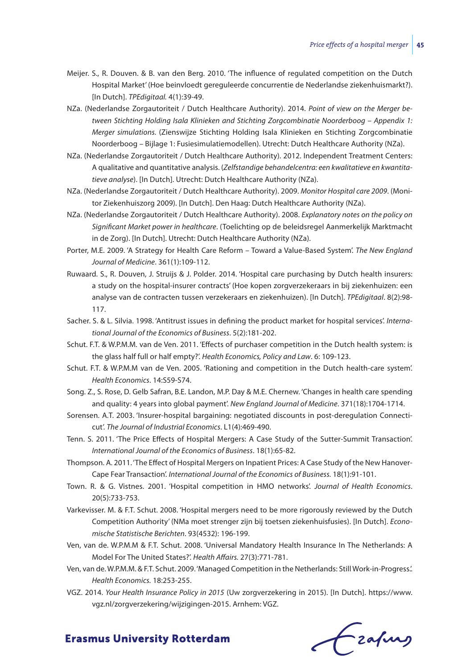- Meijer. S., R. Douven. & B. van den Berg. 2010. 'The influence of regulated competition on the Dutch Hospital Market' (Hoe beinvloedt gereguleerde concurrentie de Nederlandse ziekenhuismarkt?). [In Dutch]. *TPEdigitaal.* 4(1):39-49.
- NZa. (Nederlandse Zorgautoriteit / Dutch Healthcare Authority). 2014. *Point of view on the Merger between Stichting Holding Isala Klinieken and Stichting Zorgcombinatie Noorderboog – Appendix 1: Merger simulations.* (Zienswijze Stichting Holding Isala Klinieken en Stichting Zorgcombinatie Noorderboog – Bijlage 1: Fusiesimulatiemodellen). Utrecht: Dutch Healthcare Authority (NZa).
- NZa. (Nederlandse Zorgautoriteit / Dutch Healthcare Authority). 2012. Independent Treatment Centers: A qualitative and quantitative analysis. (*Zelfstandige behandelcentra: een kwalitatieve en kwantitatieve analyse*). [In Dutch]. Utrecht: Dutch Healthcare Authority (NZa).
- NZa. (Nederlandse Zorgautoriteit / Dutch Healthcare Authority). 2009. *Monitor Hospital care 2009*. (Monitor Ziekenhuiszorg 2009). [In Dutch]. Den Haag: Dutch Healthcare Authority (NZa).
- NZa. (Nederlandse Zorgautoriteit / Dutch Healthcare Authority). 2008. *Explanatory notes on the policy on Significant Market power in healthcare*. (Toelichting op de beleidsregel Aanmerkelijk Marktmacht in de Zorg). [In Dutch]. Utrecht: Dutch Healthcare Authority (NZa).
- Porter, M.E. 2009. 'A Strategy for Health Care Reform Toward a Value-Based System'. *The New England Journal of Medicine*. 361(1):109-112.
- Ruwaard. S., R. Douven, J. Struijs & J. Polder. 2014. 'Hospital care purchasing by Dutch health insurers: a study on the hospital-insurer contracts' (Hoe kopen zorgverzekeraars in bij ziekenhuizen: een analyse van de contracten tussen verzekeraars en ziekenhuizen). [In Dutch]. *TPEdigitaal*. 8(2):98- 117.
- Sacher. S. & L. Silvia. 1998. 'Antitrust issues in defining the product market for hospital services'. *International Journal of the Economics of Business*. 5(2):181-202.
- Schut. F.T. & W.P.M.M. van de Ven. 2011. 'Effects of purchaser competition in the Dutch health system: is the glass half full or half empty?'. *Health Economics, Policy and Law*. 6: 109-123.
- Schut. F.T. & W.P.M.M van de Ven. 2005. 'Rationing and competition in the Dutch health-care system'. *Health Economics*. 14:S59-S74.
- Song. Z., S. Rose, D. Gelb Safran, B.E. Landon, M.P. Day & M.E. Chernew. 'Changes in health care spending and quality: 4 years into global payment'. *New England Journal of Medicine*. 371(18):1704-1714.
- Sorensen. A.T. 2003. 'Insurer-hospital bargaining: negotiated discounts in post-deregulation Connecticut'. *The Journal of Industrial Economics*. L1(4):469-490.
- Tenn. S. 2011. 'The Price Effects of Hospital Mergers: A Case Study of the Sutter-Summit Transaction'. *International Journal of the Economics of Business*. 18(1):65-82.
- Thompson. A. 2011. 'The Effect of Hospital Mergers on Inpatient Prices: A Case Study of the New Hanover-Cape Fear Transaction'. *International Journal of the Economics of Business.* 18(1):91-101.
- Town. R. & G. Vistnes. 2001. 'Hospital competition in HMO networks'. *Journal of Health Economics*. 20(5):733-753.
- Varkevisser. M. & F.T. Schut. 2008. 'Hospital mergers need to be more rigorously reviewed by the Dutch Competition Authority' (NMa moet strenger zijn bij toetsen ziekenhuisfusies). [In Dutch]. *Economische Statistische Berichten*. 93(4532): 196-199.
- Ven, van de. W.P.M.M & F.T. Schut. 2008. 'Universal Mandatory Health Insurance In The Netherlands: A Model For The United States?'. *Health Affairs.* 27(3):771-781.
- Ven, van de. W.P.M.M. & F.T. Schut. 2009. 'Managed Competition in the Netherlands: Still Work-in-Progress.'. *Health Economics.* 18:253-255.
- VGZ. 2014. *Your Health Insurance Policy in 2015* (Uw zorgverzekering in 2015). [In Dutch]. https://www. vgz.nl/zorgverzekering/wijzigingen-2015. Arnhem: VGZ.

Czapus